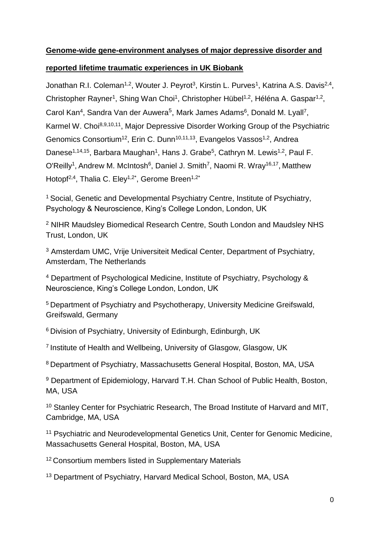# **Genome-wide gene-environment analyses of major depressive disorder and**

# **reported lifetime traumatic experiences in UK Biobank**

Jonathan R.I. Coleman<sup>1,2</sup>, Wouter J. Peyrot<sup>3</sup>, Kirstin L. Purves<sup>1</sup>, Katrina A.S. Davis<sup>2,4</sup>, Christopher Rayner<sup>1</sup>, Shing Wan Choi<sup>1</sup>, Christopher Hübel<sup>1,2</sup>, Héléna A. Gaspar<sup>1,2</sup>, Carol Kan<sup>4</sup>, Sandra Van der Auwera<sup>5</sup>, Mark James Adams<sup>6</sup>, Donald M. Lyall<sup>7</sup>, Karmel W. Choi<sup>8,9,10,11</sup>, Major Depressive Disorder Working Group of the Psychiatric Genomics Consortium<sup>12</sup>, Erin C. Dunn<sup>10,11,13</sup>, Evangelos Vassos<sup>1,2</sup>, Andrea Danese<sup>1,14,15</sup>, Barbara Maughan<sup>1</sup>, Hans J. Grabe<sup>5</sup>, Cathryn M. Lewis<sup>1,2</sup>, Paul F. O'Reilly<sup>1</sup>, Andrew M. McIntosh<sup>6</sup>, Daniel J. Smith<sup>7</sup>, Naomi R. Wray<sup>16,17</sup>, Matthew Hotopf<sup>2,4</sup>, Thalia C. Elev<sup>1,2\*</sup>, Gerome Breen<sup>1,2\*</sup>

<sup>1</sup>Social, Genetic and Developmental Psychiatry Centre, Institute of Psychiatry, Psychology & Neuroscience, King's College London, London, UK

<sup>2</sup> NIHR Maudsley Biomedical Research Centre, South London and Maudsley NHS Trust, London, UK

<sup>3</sup> Amsterdam UMC, Vrije Universiteit Medical Center, Department of Psychiatry, Amsterdam, The Netherlands

<sup>4</sup> Department of Psychological Medicine, Institute of Psychiatry, Psychology & Neuroscience, King's College London, London, UK

<sup>5</sup> Department of Psychiatry and Psychotherapy, University Medicine Greifswald, Greifswald, Germany

<sup>6</sup> Division of Psychiatry, University of Edinburgh, Edinburgh, UK

<sup>7</sup> Institute of Health and Wellbeing, University of Glasgow, Glasgow, UK

<sup>8</sup>Department of Psychiatry, Massachusetts General Hospital, Boston, MA, USA

<sup>9</sup> Department of Epidemiology, Harvard T.H. Chan School of Public Health, Boston, MA, USA

<sup>10</sup> Stanley Center for Psychiatric Research, The Broad Institute of Harvard and MIT, Cambridge, MA, USA

<sup>11</sup> Psychiatric and Neurodevelopmental Genetics Unit, Center for Genomic Medicine, Massachusetts General Hospital, Boston, MA, USA

<sup>12</sup> Consortium members listed in Supplementary Materials

<sup>13</sup> Department of Psychiatry, Harvard Medical School, Boston, MA, USA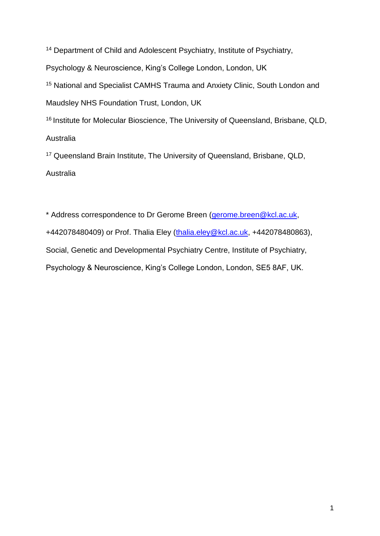<sup>14</sup> Department of Child and Adolescent Psychiatry, Institute of Psychiatry, Psychology & Neuroscience, King's College London, London, UK <sup>15</sup> National and Specialist CAMHS Trauma and Anxiety Clinic, South London and Maudsley NHS Foundation Trust, London, UK <sup>16</sup> Institute for Molecular Bioscience, The University of Queensland, Brisbane, QLD, Australia <sup>17</sup> Queensland Brain Institute, The University of Queensland, Brisbane, QLD,

## Australia

\* Address correspondence to Dr Gerome Breen [\(gerome.breen@kcl.ac.uk,](mailto:gerome.breen@kcl.ac.uk) +442078480409) or Prof. Thalia Eley [\(thalia.eley@kcl.ac.uk,](mailto:thalia.eley@kcl.ac.uk) +442078480863), Social, Genetic and Developmental Psychiatry Centre, Institute of Psychiatry, Psychology & Neuroscience, King's College London, London, SE5 8AF, UK.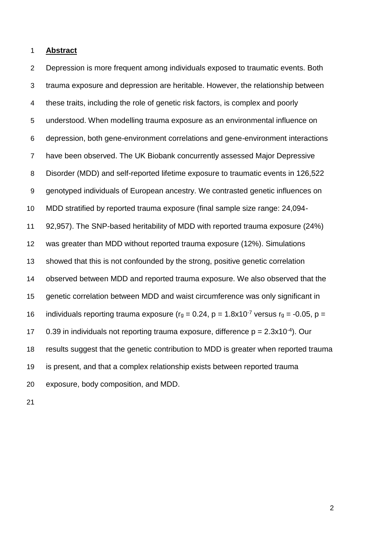**Abstract**

 Depression is more frequent among individuals exposed to traumatic events. Both trauma exposure and depression are heritable. However, the relationship between these traits, including the role of genetic risk factors, is complex and poorly understood. When modelling trauma exposure as an environmental influence on depression, both gene-environment correlations and gene-environment interactions have been observed. The UK Biobank concurrently assessed Major Depressive Disorder (MDD) and self-reported lifetime exposure to traumatic events in 126,522 genotyped individuals of European ancestry. We contrasted genetic influences on MDD stratified by reported trauma exposure (final sample size range: 24,094- 92,957). The SNP-based heritability of MDD with reported trauma exposure (24%) was greater than MDD without reported trauma exposure (12%). Simulations showed that this is not confounded by the strong, positive genetic correlation observed between MDD and reported trauma exposure. We also observed that the genetic correlation between MDD and waist circumference was only significant in 16 individuals reporting trauma exposure ( $r_g = 0.24$ ,  $p = 1.8 \times 10^{-7}$  versus  $r_g = -0.05$ ,  $p =$ 17 0.39 in individuals not reporting trauma exposure, difference  $p = 2.3x10^{-4}$ ). Our results suggest that the genetic contribution to MDD is greater when reported trauma is present, and that a complex relationship exists between reported trauma exposure, body composition, and MDD.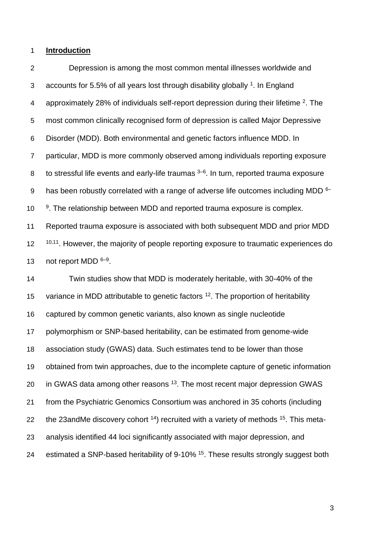#### **Introduction**

 Depression is among the most common mental illnesses worldwide and 3 accounts for 5.5% of all years lost through disability globally . In England 4 approximately [2](https://paperpile.com/c/pZ6sjJ/SmBx)8% of individuals self-report depression during their lifetime . The most common clinically recognised form of depression is called Major Depressive Disorder (MDD). Both environmental and genetic factors influence MDD. In particular, MDD is more commonly observed among individuals reporting exposure 8 to stressful life events and early-life traumas  $3-6$ . In turn, reported trauma exposure 9 has been robustly correlated with a range of adverse life outcomes including MDD  $6-$ 10 <sup>[9](https://paperpile.com/c/pZ6sjJ/OWF1+I3Od+cJje+msKo)</sup>. The relationship between MDD and reported trauma exposure is complex. Reported trauma exposure is associated with both subsequent MDD and prior MDD  $10,11$ . However, the majority of people reporting exposure to traumatic experiences do 13 not report MDD  $6-9$ .

 Twin studies show that MDD is moderately heritable, with 30-40% of the 15 variance in MDD attributable to genetic factors . The proportion of heritability captured by common genetic variants, also known as single nucleotide polymorphism or SNP-based heritability, can be estimated from genome-wide association study (GWAS) data. Such estimates tend to be lower than those obtained from twin approaches, due to the incomplete capture of genetic information 20 in GWAS data among other reasons <sup>[13](https://paperpile.com/c/pZ6sjJ/pZSL1)</sup>. The most recent major depression GWAS from the Psychiatric Genomics Consortium was anchored in 35 cohorts (including 22 the 23andMe discovery cohort ) recruited with a variety of methods  $15$ . This meta- analysis identified 44 loci significantly associated with major depression, and 24 estimated a SNP-based heritability of 9-10% <sup>[15](https://paperpile.com/c/pZ6sjJ/2uLN)</sup>. These results strongly suggest both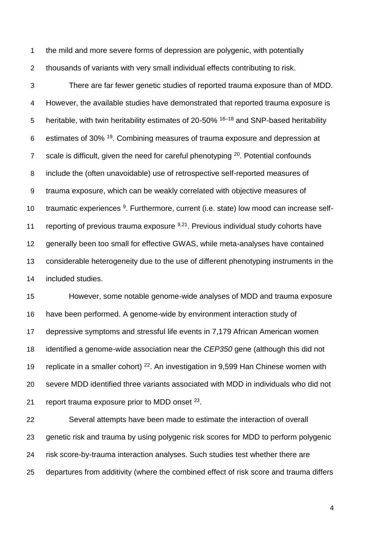the mild and more severe forms of depression are polygenic, with potentially thousands of variants with very small individual effects contributing to risk.

 There are far fewer genetic studies of reported trauma exposure than of MDD. However, the available studies have demonstrated that reported trauma exposure is 5 heritable, with twin heritability estimates of 20-50%  $16-18$  and SNP-based heritability 6 estimates of 30% . Combining measures of trauma exposure and depression at z scale is difficult, given the need for careful phenotyping . Potential confounds include the (often unavoidable) use of retrospective self-reported measures of trauma exposure, which can be weakly correlated with objective measures of 10 traumatic experiences <sup>[9](https://paperpile.com/c/pZ6sjJ/msKo)</sup>. Furthermore, current (i.e. state) low mood can increase self-11 reporting of previous trauma exposure  $9,21$ . Previous individual study cohorts have generally been too small for effective GWAS, while meta-analyses have contained considerable heterogeneity due to the use of different phenotyping instruments in the included studies.

 However, some notable genome-wide analyses of MDD and trauma exposure have been performed. A genome-wide by environment interaction study of depressive symptoms and stressful life events in 7,179 African American women identified a genome-wide association near the *CEP350* gene (although this did not 19 replicate in a smaller cohort) . An investigation in 9,599 Han Chinese women with severe MDD identified three variants associated with MDD in individuals who did not 21 report trauma exposure prior to MDD onset .

 Several attempts have been made to estimate the interaction of overall genetic risk and trauma by using polygenic risk scores for MDD to perform polygenic risk score-by-trauma interaction analyses. Such studies test whether there are departures from additivity (where the combined effect of risk score and trauma differs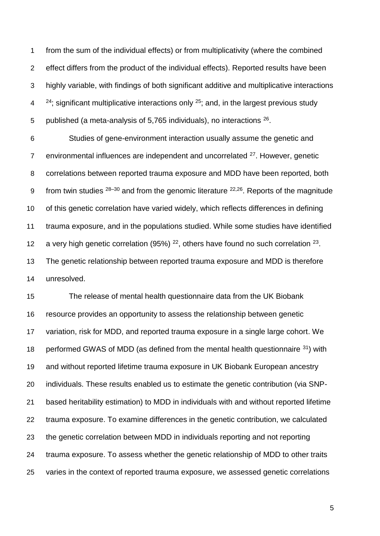from the sum of the individual effects) or from multiplicativity (where the combined effect differs from the product of the individual effects). Reported results have been highly variable, with findings of both significant additive and multiplicative interactions  $2^{4}$ ; significant multiplicative interactions only <sup>[25](https://paperpile.com/c/pZ6sjJ/4mFS)</sup>; and, in the largest previous study 5 published (a meta-analysis of  $5,765$  individuals), no interactions  $26$ .

 Studies of gene-environment interaction usually assume the genetic and 7 environmental influences are independent and uncorrelated . However, genetic correlations between reported trauma exposure and MDD have been reported, both 9 from twin studies  $28-30$  and from the genomic literature  $22,26$ . Reports of the magnitude of this genetic correlation have varied widely, which reflects differences in defining trauma exposure, and in the populations studied. While some studies have identified 12 a very high genetic correlation (95%)  $^{22}$  $^{22}$  $^{22}$ , others have found no such correlation  $^{23}$  $^{23}$  $^{23}$ . The genetic relationship between reported trauma exposure and MDD is therefore unresolved.

 The release of mental health questionnaire data from the UK Biobank resource provides an opportunity to assess the relationship between genetic variation, risk for MDD, and reported trauma exposure in a single large cohort. We 18 performed GWAS of MDD (as defined from the mental health questionnaire ) with and without reported lifetime trauma exposure in UK Biobank European ancestry individuals. These results enabled us to estimate the genetic contribution (via SNP- based heritability estimation) to MDD in individuals with and without reported lifetime trauma exposure. To examine differences in the genetic contribution, we calculated the genetic correlation between MDD in individuals reporting and not reporting trauma exposure. To assess whether the genetic relationship of MDD to other traits varies in the context of reported trauma exposure, we assessed genetic correlations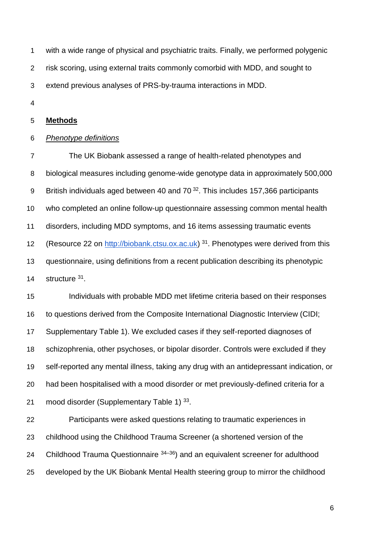with a wide range of physical and psychiatric traits. Finally, we performed polygenic

risk scoring, using external traits commonly comorbid with MDD, and sought to

extend previous analyses of PRS-by-trauma interactions in MDD.

## **Methods**

## *Phenotype definitions*

 The UK Biobank assessed a range of health-related phenotypes and biological measures including genome-wide genotype data in approximately 500,000 9 British individuals aged between 40 and  $70^{32}$  $70^{32}$  $70^{32}$ . This includes 157,366 participants who completed an online follow-up questionnaire assessing common mental health disorders, including MDD symptoms, and 16 items assessing traumatic events 12 (Resource 22 on [http://biobank.ctsu.ox.ac.uk\)](http://biobank.ctsu.ox.ac.uk/) . Phenotypes were derived from this questionnaire, using definitions from a recent publication describing its phenotypic 14 structure .

 Individuals with probable MDD met lifetime criteria based on their responses to questions derived from the Composite International Diagnostic Interview (CIDI; Supplementary Table 1). We excluded cases if they self-reported diagnoses of schizophrenia, other psychoses, or bipolar disorder. Controls were excluded if they self-reported any mental illness, taking any drug with an antidepressant indication, or had been hospitalised with a mood disorder or met previously-defined criteria for a 21 mood disorder (Supplementary Table 1) .

 Participants were asked questions relating to traumatic experiences in childhood using the Childhood Trauma Screener (a shortened version of the 24 Childhood Trauma Questionnaire  $34-36$  and an equivalent screener for adulthood developed by the UK Biobank Mental Health steering group to mirror the childhood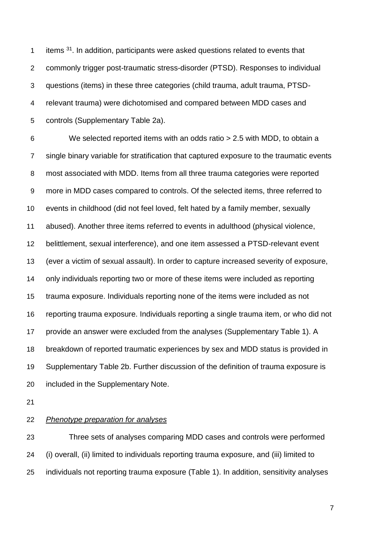1 items . In addition, participants were asked questions related to events that commonly trigger post-traumatic stress-disorder (PTSD). Responses to individual questions (items) in these three categories (child trauma, adult trauma, PTSD- relevant trauma) were dichotomised and compared between MDD cases and controls (Supplementary Table 2a).

 We selected reported items with an odds ratio > 2.5 with MDD, to obtain a single binary variable for stratification that captured exposure to the traumatic events most associated with MDD. Items from all three trauma categories were reported more in MDD cases compared to controls. Of the selected items, three referred to events in childhood (did not feel loved, felt hated by a family member, sexually abused). Another three items referred to events in adulthood (physical violence, belittlement, sexual interference), and one item assessed a PTSD-relevant event (ever a victim of sexual assault). In order to capture increased severity of exposure, only individuals reporting two or more of these items were included as reporting trauma exposure. Individuals reporting none of the items were included as not reporting trauma exposure. Individuals reporting a single trauma item, or who did not provide an answer were excluded from the analyses (Supplementary Table 1). A breakdown of reported traumatic experiences by sex and MDD status is provided in Supplementary Table 2b. Further discussion of the definition of trauma exposure is included in the Supplementary Note.

## *Phenotype preparation for analyses*

 Three sets of analyses comparing MDD cases and controls were performed (i) overall, (ii) limited to individuals reporting trauma exposure, and (iii) limited to individuals not reporting trauma exposure (Table 1). In addition, sensitivity analyses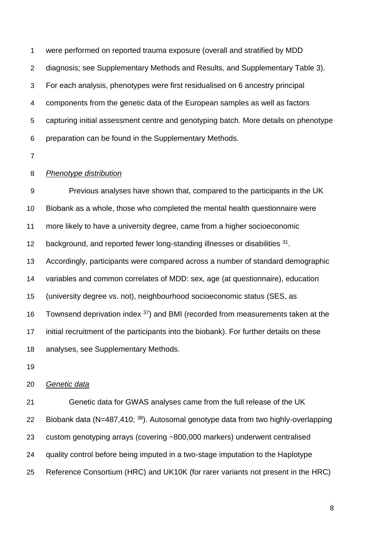were performed on reported trauma exposure (overall and stratified by MDD diagnosis; see Supplementary Methods and Results, and Supplementary Table 3). For each analysis, phenotypes were first residualised on 6 ancestry principal components from the genetic data of the European samples as well as factors capturing initial assessment centre and genotyping batch. More details on phenotype preparation can be found in the Supplementary Methods.

## *Phenotype distribution*

 Previous analyses have shown that, compared to the participants in the UK Biobank as a whole, those who completed the mental health questionnaire were more likely to have a university degree, came from a higher socioeconomic 12 background, and reported fewer long-standing illnesses or disabilities . Accordingly, participants were compared across a number of standard demographic variables and common correlates of MDD: sex, age (at questionnaire), education (university degree vs. not), neighbourhood socioeconomic status (SES, as 16 Townsend deprivation index ) and BMI (recorded from measurements taken at the initial recruitment of the participants into the biobank). For further details on these analyses, see Supplementary Methods.

#### *Genetic data*

 Genetic data for GWAS analyses came from the full release of the UK 22 Biobank data (N=487,410; ). Autosomal genotype data from two highly-overlapping custom genotyping arrays (covering ~800,000 markers) underwent centralised quality control before being imputed in a two-stage imputation to the Haplotype Reference Consortium (HRC) and UK10K (for rarer variants not present in the HRC)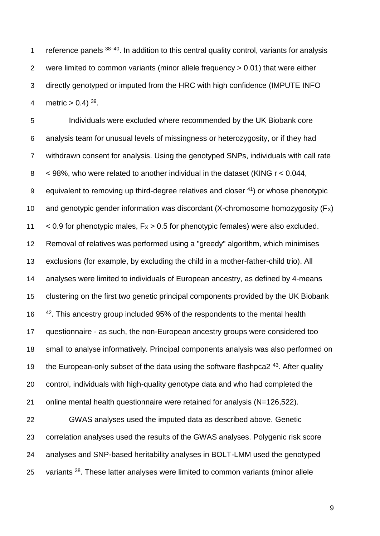1 reference panels  $38-40$ . In addition to this central quality control, variants for analysis were limited to common variants (minor allele frequency > 0.01) that were either directly genotyped or imputed from the HRC with high confidence (IMPUTE INFO 4 metric  $> 0.4$ ) <sup>[39](https://paperpile.com/c/pZ6sjJ/YTEDv)</sup>.

 Individuals were excluded where recommended by the UK Biobank core analysis team for unusual levels of missingness or heterozygosity, or if they had withdrawn consent for analysis. Using the genotyped SNPs, individuals with call rate < 98%, who were related to another individual in the dataset (KING r < 0.044, 9 equivalent to removing up third-degree relatives and closer ) or whose phenotypic 10 and genotypic gender information was discordant (X-chromosome homozygosity  $(F_X)$ )  $\leq$  0.9 for phenotypic males,  $Fx > 0.5$  for phenotypic females) were also excluded. Removal of relatives was performed using a "greedy" algorithm, which minimises exclusions (for example, by excluding the child in a mother-father-child trio). All analyses were limited to individuals of European ancestry, as defined by 4-means clustering on the first two genetic principal components provided by the UK Biobank 16 <sup>[42](https://paperpile.com/c/pZ6sjJ/KlmMV)</sup>. This ancestry group included 95% of the respondents to the mental health questionnaire - as such, the non-European ancestry groups were considered too small to analyse informatively. Principal components analysis was also performed on the European-only subset of the data using the software flashpca  $2^{43}$  $2^{43}$  $2^{43}$ . After quality control, individuals with high-quality genotype data and who had completed the online mental health questionnaire were retained for analysis (N=126,522). GWAS analyses used the imputed data as described above. Genetic correlation analyses used the results of the GWAS analyses. Polygenic risk score

25 variants <sup>[38](https://paperpile.com/c/pZ6sjJ/GmA6)</sup>. These latter analyses were limited to common variants (minor allele

analyses and SNP-based heritability analyses in BOLT-LMM used the genotyped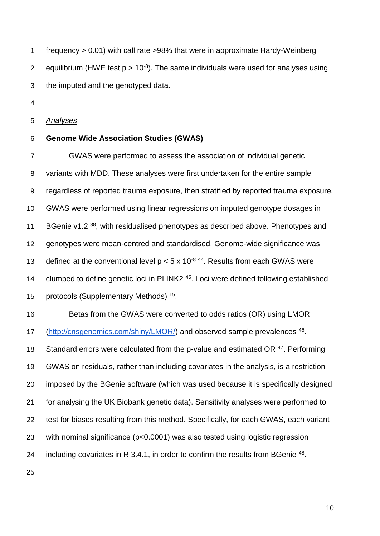frequency > 0.01) with call rate >98% that were in approximate Hardy-Weinberg 2 equilibrium (HWE test  $p > 10^{-8}$ ). The same individuals were used for analyses using the imputed and the genotyped data.

*Analyses*

## **Genome Wide Association Studies (GWAS)**

 GWAS were performed to assess the association of individual genetic variants with MDD. These analyses were first undertaken for the entire sample regardless of reported trauma exposure, then stratified by reported trauma exposure. GWAS were performed using linear regressions on imputed genotype dosages in 11 BGenie v1.2 , with residualised phenotypes as described above. Phenotypes and genotypes were mean-centred and standardised. Genome-wide significance was 13 defined at the conventional level  $p < 5 \times 10^{-8}$  <sup>[44](https://paperpile.com/c/pZ6sjJ/Jr7zz)</sup>. Results from each GWAS were 14 clumped to define genetic loci in PLINK2<sup>[45](https://paperpile.com/c/pZ6sjJ/if5BG)</sup>. Loci were defined following established protocols (Supplementary Methods) <sup>15</sup>. Betas from the GWAS were converted to odds ratios (OR) using LMOR [\(http://cnsgenomics.com/shiny/LMOR/\)](http://cnsgenomics.com/shiny/LMOR/) and observed sample prevalences <sup>[46](https://paperpile.com/c/pZ6sjJ/YCiw)</sup>. 18 Standard errors were calculated from the p-value and estimated OR . Performing GWAS on residuals, rather than including covariates in the analysis, is a restriction imposed by the BGenie software (which was used because it is specifically designed for analysing the UK Biobank genetic data). Sensitivity analyses were performed to test for biases resulting from this method. Specifically, for each GWAS, each variant with nominal significance (p<0.0001) was also tested using logistic regression

24 including covariates in R 3.4.1, in order to confirm the results from BGenie .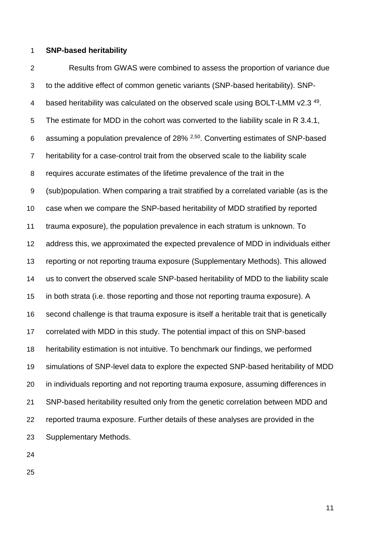#### **SNP-based heritability**

 Results from GWAS were combined to assess the proportion of variance due to the additive effect of common genetic variants (SNP-based heritability). SNP-4 based heritability was calculated on the observed scale using BOLT-LMM v2.3<sup>[49](https://paperpile.com/c/pZ6sjJ/0PwV)</sup>. The estimate for MDD in the cohort was converted to the liability scale in R 3.4.1, 6 assuming a population prevalence of  $28\%$   $2.50$ . Converting estimates of SNP-based heritability for a case-control trait from the observed scale to the liability scale requires accurate estimates of the lifetime prevalence of the trait in the (sub)population. When comparing a trait stratified by a correlated variable (as is the case when we compare the SNP-based heritability of MDD stratified by reported trauma exposure), the population prevalence in each stratum is unknown. To address this, we approximated the expected prevalence of MDD in individuals either reporting or not reporting trauma exposure (Supplementary Methods). This allowed us to convert the observed scale SNP-based heritability of MDD to the liability scale in both strata (i.e. those reporting and those not reporting trauma exposure). A second challenge is that trauma exposure is itself a heritable trait that is genetically correlated with MDD in this study. The potential impact of this on SNP-based heritability estimation is not intuitive. To benchmark our findings, we performed simulations of SNP-level data to explore the expected SNP-based heritability of MDD in individuals reporting and not reporting trauma exposure, assuming differences in SNP-based heritability resulted only from the genetic correlation between MDD and reported trauma exposure. Further details of these analyses are provided in the Supplementary Methods.

- 
-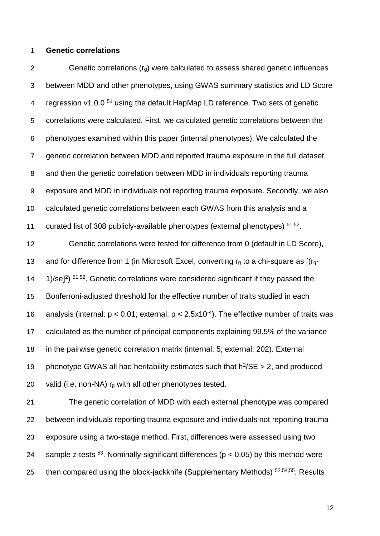#### **Genetic correlations**

2 Genetic correlations  $(r<sub>q</sub>)$  were calculated to assess shared genetic influences between MDD and other phenotypes, using GWAS summary statistics and LD Score regression v1.0.0 [51](https://paperpile.com/c/pZ6sjJ/yQy5M) using the default HapMap LD reference. Two sets of genetic correlations were calculated. First, we calculated genetic correlations between the phenotypes examined within this paper (internal phenotypes). We calculated the genetic correlation between MDD and reported trauma exposure in the full dataset, and then the genetic correlation between MDD in individuals reporting trauma exposure and MDD in individuals not reporting trauma exposure. Secondly, we also calculated genetic correlations between each GWAS from this analysis and a 11 curated list of 308 publicly-available phenotypes (external phenotypes)  $51,52$ . Genetic correlations were tested for difference from 0 (default in LD Score),

13 and for difference from 1 (in Microsoft Excel, converting  $r<sub>g</sub>$  to a chi-square as  $[(r<sub>g</sub>-$ 14 1/ $\sqrt{5^{1.52}}$ . Genetic correlations were considered significant if they passed the Bonferroni-adjusted threshold for the effective number of traits studied in each 16 analysis (internal:  $p < 0.01$ ; external:  $p < 2.5x10^{-4}$ ). The effective number of traits was calculated as the number of principal components explaining 99.5% of the variance in the pairwise genetic correlation matrix (internal: 5; external: 202). External 19 phenotype GWAS all had heritability estimates such that  $h^2$ /SE > 2, and produced 20 valid (i.e. non-NA)  $r_g$  with all other phenotypes tested.

 The genetic correlation of MDD with each external phenotype was compared between individuals reporting trauma exposure and individuals not reporting trauma exposure using a two-stage method. First, differences were assessed using two 24 sample z-tests . Nominally-significant differences ( $p < 0.05$ ) by this method were 25 then compared using the block-jackknife (Supplementary Methods)  $52,54,55$ . Results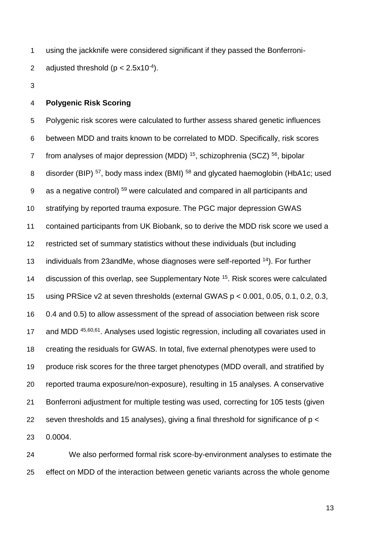using the jackknife were considered significant if they passed the Bonferroni-2 adjusted threshold  $(p < 2.5x10^{-4})$ .

## **Polygenic Risk Scoring**

 Polygenic risk scores were calculated to further assess shared genetic influences between MDD and traits known to be correlated to MDD. Specifically, risk scores 7 from analyses of major depression (MDD) , schizophrenia (SCZ)  $56$ , bipolar 8 disorder (BIP) <sup>[57](https://paperpile.com/c/pZ6sjJ/7SvPj)</sup>, body mass index (BMI) <sup>[58](https://paperpile.com/c/pZ6sjJ/vEhUT)</sup> and glycated haemoglobin (HbA1c; used  $\,$  as a negative control)  $^{59}$  $^{59}$  $^{59}$  were calculated and compared in all participants and stratifying by reported trauma exposure. The PGC major depression GWAS contained participants from UK Biobank, so to derive the MDD risk score we used a restricted set of summary statistics without these individuals (but including 13 individuals from 23andMe, whose diagnoses were self-reported ). For further 14 discussion of this overlap, see Supplementary Note <sup>[15](https://paperpile.com/c/pZ6sjJ/2uLN)</sup>. Risk scores were calculated using PRSice v2 at seven thresholds (external GWAS p < 0.001, 0.05, 0.1, 0.2, 0.3, 0.4 and 0.5) to allow assessment of the spread of association between risk score 17 and MDD <sup>[45,60,61](https://paperpile.com/c/pZ6sjJ/eO9zr+if5BG+PK4c)</sup>. Analyses used logistic regression, including all covariates used in creating the residuals for GWAS. In total, five external phenotypes were used to produce risk scores for the three target phenotypes (MDD overall, and stratified by reported trauma exposure/non-exposure), resulting in 15 analyses. A conservative Bonferroni adjustment for multiple testing was used, correcting for 105 tests (given seven thresholds and 15 analyses), giving a final threshold for significance of p < 0.0004.

 We also performed formal risk score-by-environment analyses to estimate the effect on MDD of the interaction between genetic variants across the whole genome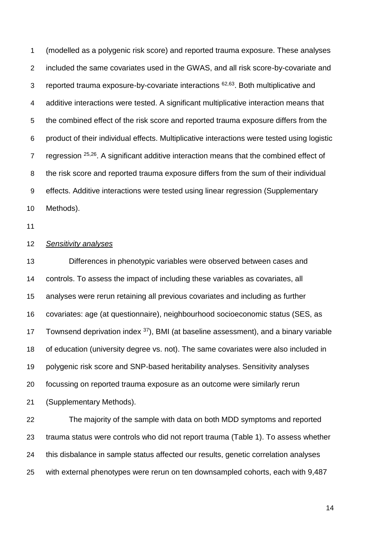(modelled as a polygenic risk score) and reported trauma exposure. These analyses included the same covariates used in the GWAS, and all risk score-by-covariate and 3 reported trauma exposure-by-covariate interactions <sup>[62,63](https://paperpile.com/c/pZ6sjJ/TA4B+MbkQ)</sup>. Both multiplicative and additive interactions were tested. A significant multiplicative interaction means that the combined effect of the risk score and reported trauma exposure differs from the product of their individual effects. Multiplicative interactions were tested using logistic 7 regression  $25,26$ . A significant additive interaction means that the combined effect of the risk score and reported trauma exposure differs from the sum of their individual effects. Additive interactions were tested using linear regression (Supplementary Methods).

#### *Sensitivity analyses*

 Differences in phenotypic variables were observed between cases and controls. To assess the impact of including these variables as covariates, all analyses were rerun retaining all previous covariates and including as further covariates: age (at questionnaire), neighbourhood socioeconomic status (SES, as 17 Townsend deprivation index ), BMI (at baseline assessment), and a binary variable of education (university degree vs. not). The same covariates were also included in polygenic risk score and SNP-based heritability analyses. Sensitivity analyses focussing on reported trauma exposure as an outcome were similarly rerun (Supplementary Methods).

 The majority of the sample with data on both MDD symptoms and reported trauma status were controls who did not report trauma (Table 1). To assess whether this disbalance in sample status affected our results, genetic correlation analyses with external phenotypes were rerun on ten downsampled cohorts, each with 9,487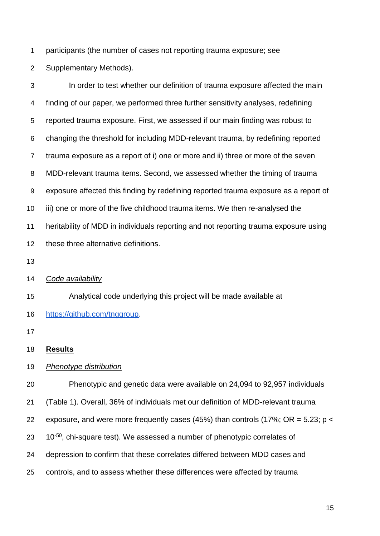participants (the number of cases not reporting trauma exposure; see

Supplementary Methods).

 In order to test whether our definition of trauma exposure affected the main finding of our paper, we performed three further sensitivity analyses, redefining reported trauma exposure. First, we assessed if our main finding was robust to changing the threshold for including MDD-relevant trauma, by redefining reported trauma exposure as a report of i) one or more and ii) three or more of the seven MDD-relevant trauma items. Second, we assessed whether the timing of trauma exposure affected this finding by redefining reported trauma exposure as a report of iii) one or more of the five childhood trauma items. We then re-analysed the heritability of MDD in individuals reporting and not reporting trauma exposure using these three alternative definitions.

#### *Code availability*

 Analytical code underlying this project will be made available a[t](https://github.com/tnggroup) [https://github.com/tnggroup.](https://github.com/tnggroup)

## **Results**

*Phenotype distribution*

Phenotypic and genetic data were available on 24,094 to 92,957 individuals

(Table 1). Overall, 36% of individuals met our definition of MDD-relevant trauma

22 exposure, and were more frequently cases (45%) than controls (17%; OR =  $5.23$ ; p <

 $10^{-50}$ , chi-square test). We assessed a number of phenotypic correlates of

depression to confirm that these correlates differed between MDD cases and

controls, and to assess whether these differences were affected by trauma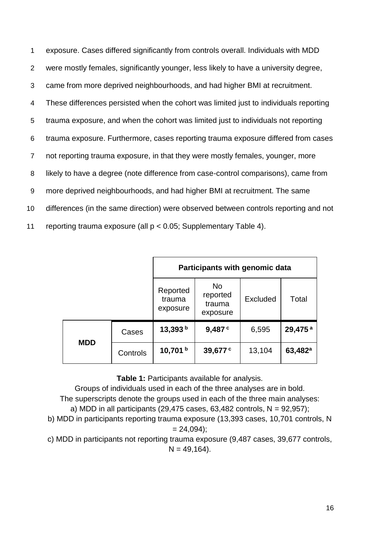exposure. Cases differed significantly from controls overall. Individuals with MDD were mostly females, significantly younger, less likely to have a university degree, came from more deprived neighbourhoods, and had higher BMI at recruitment. These differences persisted when the cohort was limited just to individuals reporting trauma exposure, and when the cohort was limited just to individuals not reporting trauma exposure. Furthermore, cases reporting trauma exposure differed from cases not reporting trauma exposure, in that they were mostly females, younger, more likely to have a degree (note difference from case-control comparisons), came from more deprived neighbourhoods, and had higher BMI at recruitment. The same differences (in the same direction) were observed between controls reporting and not reporting trauma exposure (all p < 0.05; Supplementary Table 4).

|            |          | Participants with genomic data |                                             |          |                     |  |  |  |
|------------|----------|--------------------------------|---------------------------------------------|----------|---------------------|--|--|--|
|            |          | Reported<br>trauma<br>exposure | <b>No</b><br>reported<br>trauma<br>exposure | Excluded | Total               |  |  |  |
| <b>MDD</b> | Cases    | 13,393 $b$                     | 9,487c                                      | 6,595    | 29,475 <sup>a</sup> |  |  |  |
|            | Controls | 10,701 $b$                     | 39,677 <sup>c</sup>                         | 13,104   | $63,482^a$          |  |  |  |

**Table 1:** Participants available for analysis.

Groups of individuals used in each of the three analyses are in bold. The superscripts denote the groups used in each of the three main analyses: a) MDD in all participants  $(29,475 \text{ cases}, 63,482 \text{ controls}, N = 92,957);$ b) MDD in participants reporting trauma exposure (13,393 cases, 10,701 controls, N  $= 24,094$ ;

c) MDD in participants not reporting trauma exposure (9,487 cases, 39,677 controls,  $N = 49,164$ .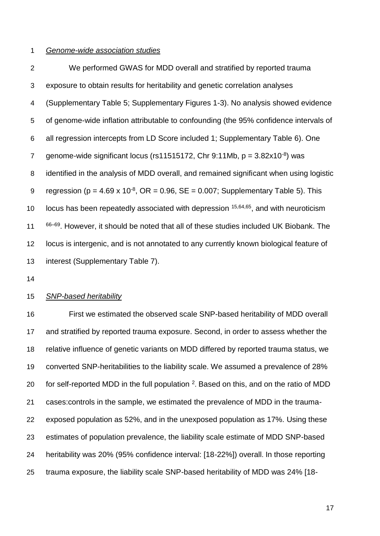#### *Genome-wide association studies*

 We performed GWAS for MDD overall and stratified by reported trauma exposure to obtain results for heritability and genetic correlation analyses (Supplementary Table 5; Supplementary Figures 1-3). No analysis showed evidence of genome-wide inflation attributable to confounding (the 95% confidence intervals of all regression intercepts from LD Score included 1; Supplementary Table 6). One qenome-wide significant locus (rs11515172, Chr 9:11Mb,  $p = 3.82 \times 10^{-8}$ ) was identified in the analysis of MDD overall, and remained significant when using logistic 9 regression ( $p = 4.69 \times 10^{-8}$ ,  $OR = 0.96$ ,  $SE = 0.007$ ; Supplementary Table 5). This  $\,$  locus has been repeatedly associated with depression  $15,64,65$ , and with neuroticism  $66-69$ . However, it should be noted that all of these studies included UK Biobank. The locus is intergenic, and is not annotated to any currently known biological feature of interest (Supplementary Table 7).

## *SNP-based heritability*

 First we estimated the observed scale SNP-based heritability of MDD overall and stratified by reported trauma exposure. Second, in order to assess whether the relative influence of genetic variants on MDD differed by reported trauma status, we converted SNP-heritabilities to the liability scale. We assumed a prevalence of 28% 0 for self-reported MDD in the full population . Based on this, and on the ratio of MDD cases:controls in the sample, we estimated the prevalence of MDD in the trauma- exposed population as 52%, and in the unexposed population as 17%. Using these estimates of population prevalence, the liability scale estimate of MDD SNP-based heritability was 20% (95% confidence interval: [18-22%]) overall. In those reporting trauma exposure, the liability scale SNP-based heritability of MDD was 24% [18-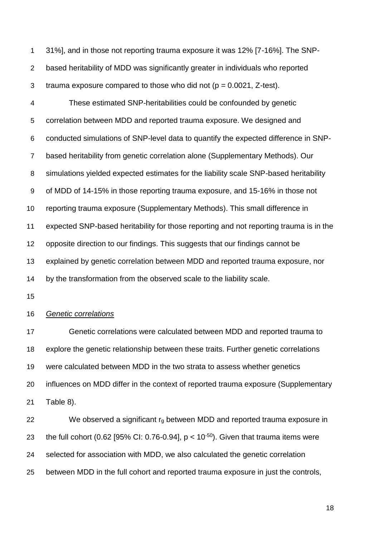31%], and in those not reporting trauma exposure it was 12% [7-16%]. The SNP- based heritability of MDD was significantly greater in individuals who reported 3 trauma exposure compared to those who did not  $(p = 0.0021, Z-test)$ .

 These estimated SNP-heritabilities could be confounded by genetic correlation between MDD and reported trauma exposure. We designed and conducted simulations of SNP-level data to quantify the expected difference in SNP- based heritability from genetic correlation alone (Supplementary Methods). Our simulations yielded expected estimates for the liability scale SNP-based heritability of MDD of 14-15% in those reporting trauma exposure, and 15-16% in those not reporting trauma exposure (Supplementary Methods). This small difference in expected SNP-based heritability for those reporting and not reporting trauma is in the opposite direction to our findings. This suggests that our findings cannot be explained by genetic correlation between MDD and reported trauma exposure, nor by the transformation from the observed scale to the liability scale.

#### *Genetic correlations*

 Genetic correlations were calculated between MDD and reported trauma to explore the genetic relationship between these traits. Further genetic correlations were calculated between MDD in the two strata to assess whether genetics influences on MDD differ in the context of reported trauma exposure (Supplementary Table 8).

22 We observed a significant  $r_g$  between MDD and reported trauma exposure in 23 the full cohort (0.62 [95% CI: 0.76-0.94],  $p < 10^{-50}$ ). Given that trauma items were selected for association with MDD, we also calculated the genetic correlation between MDD in the full cohort and reported trauma exposure in just the controls,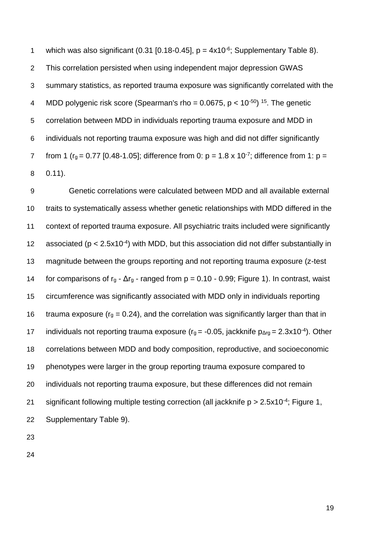1 which was also significant  $(0.31 \, [0.18-0.45]$ ,  $p = 4 \times 10^{-6}$ ; Supplementary Table 8). This correlation persisted when using independent major depression GWAS summary statistics, as reported trauma exposure was significantly correlated with the 4 MDD polygenic risk score (Spearman's rho =  $0.0675$ , p <  $10^{-50}$ ) <sup>[15](https://paperpile.com/c/pZ6sjJ/2uLN)</sup>. The genetic correlation between MDD in individuals reporting trauma exposure and MDD in individuals not reporting trauma exposure was high and did not differ significantly 7 from 1 ( $r_g = 0.77$  [0.48-1.05]; difference from 0:  $p = 1.8 \times 10^{-7}$ ; difference from 1:  $p =$ 0.11).

 Genetic correlations were calculated between MDD and all available external traits to systematically assess whether genetic relationships with MDD differed in the context of reported trauma exposure. All psychiatric traits included were significantly 12 associated ( $p < 2.5x10^{-4}$ ) with MDD, but this association did not differ substantially in magnitude between the groups reporting and not reporting trauma exposure (z-test 14 for comparisons of  $r_g - \Delta r_g$  - ranged from  $p = 0.10 - 0.99$ ; Figure 1). In contrast, waist circumference was significantly associated with MDD only in individuals reporting 16 trauma exposure ( $r<sub>q</sub> = 0.24$ ), and the correlation was significantly larger than that in 17 individuals not reporting trauma exposure ( $r_g = -0.05$ , jackknife  $p_{\Delta rg} = 2.3 \times 10^{-4}$ ). Other correlations between MDD and body composition, reproductive, and socioeconomic phenotypes were larger in the group reporting trauma exposure compared to individuals not reporting trauma exposure, but these differences did not remain 21 significant following multiple testing correction (all jackknife  $p > 2.5x10^{-4}$ ; Figure 1, Supplementary Table 9).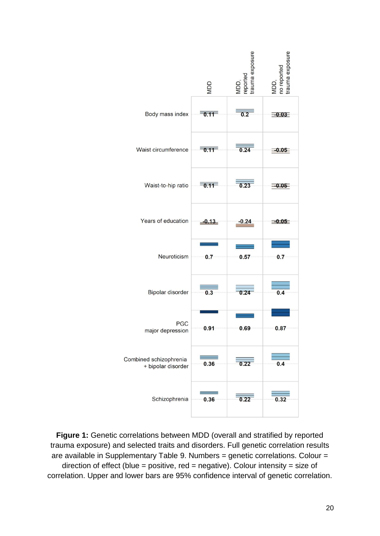

**Figure 1:** Genetic correlations between MDD (overall and stratified by reported trauma exposure) and selected traits and disorders. Full genetic correlation results are available in Supplementary Table 9. Numbers = genetic correlations. Colour = direction of effect (blue = positive,  $red = negative$ ). Colour intensity = size of correlation. Upper and lower bars are 95% confidence interval of genetic correlation.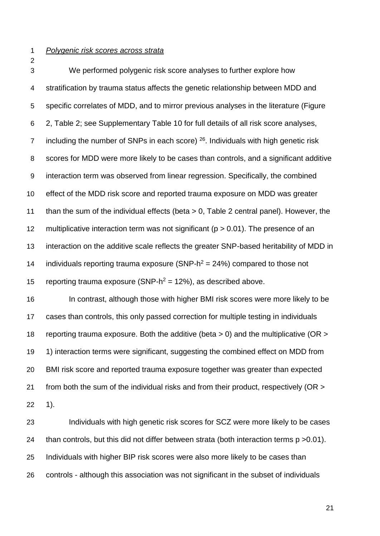#### *Polygenic risk scores across strata*

 We performed polygenic risk score analyses to further explore how stratification by trauma status affects the genetic relationship between MDD and specific correlates of MDD, and to mirror previous analyses in the literature (Figure 2, Table 2; see Supplementary Table 10 for full details of all risk score analyses, 7 including the number of SNPs in each score) . Individuals with high genetic risk scores for MDD were more likely to be cases than controls, and a significant additive interaction term was observed from linear regression. Specifically, the combined effect of the MDD risk score and reported trauma exposure on MDD was greater than the sum of the individual effects (beta > 0, Table 2 central panel). However, the 12 multiplicative interaction term was not significant ( $p > 0.01$ ). The presence of an interaction on the additive scale reflects the greater SNP-based heritability of MDD in 14 individuals reporting trauma exposure (SNP- $h^2 = 24\%$ ) compared to those not 15 reporting trauma exposure (SNP- $h^2 = 12\%$ ), as described above.

 In contrast, although those with higher BMI risk scores were more likely to be cases than controls, this only passed correction for multiple testing in individuals reporting trauma exposure. Both the additive (beta > 0) and the multiplicative (OR > 1) interaction terms were significant, suggesting the combined effect on MDD from BMI risk score and reported trauma exposure together was greater than expected 21 from both the sum of the individual risks and from their product, respectively (OR > 1).

 Individuals with high genetic risk scores for SCZ were more likely to be cases than controls, but this did not differ between strata (both interaction terms p >0.01). Individuals with higher BIP risk scores were also more likely to be cases than controls - although this association was not significant in the subset of individuals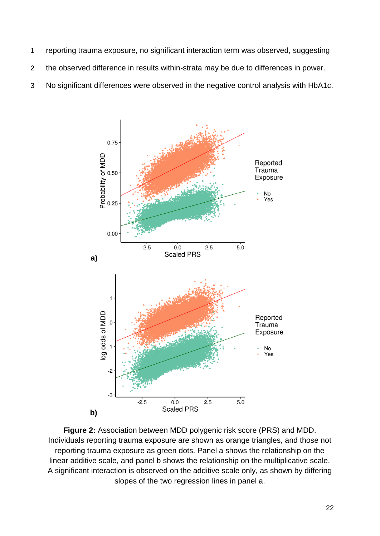- 1 reporting trauma exposure, no significant interaction term was observed, suggesting
- 2 the observed difference in results within-strata may be due to differences in power.
- 3 No significant differences were observed in the negative control analysis with HbA1c.



**Figure 2:** Association between MDD polygenic risk score (PRS) and MDD. Individuals reporting trauma exposure are shown as orange triangles, and those not reporting trauma exposure as green dots. Panel a shows the relationship on the linear additive scale, and panel b shows the relationship on the multiplicative scale. A significant interaction is observed on the additive scale only, as shown by differing slopes of the two regression lines in panel a.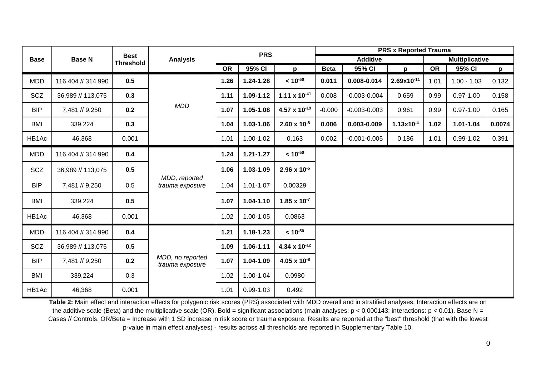| <b>Base</b> |                    | <b>Best</b><br><b>Threshold</b> | <b>Analysis</b>                     | <b>PRS</b> |               | <b>PRS x Reported Trauma</b>    |                 |                  |                 |                       |               |              |
|-------------|--------------------|---------------------------------|-------------------------------------|------------|---------------|---------------------------------|-----------------|------------------|-----------------|-----------------------|---------------|--------------|
|             | <b>Base N</b>      |                                 |                                     |            |               |                                 | <b>Additive</b> |                  |                 | <b>Multiplicative</b> |               |              |
|             |                    |                                 |                                     | <b>OR</b>  | 95% CI        | p                               | <b>Beta</b>     | 95% CI           | p               | <b>OR</b>             | 95% CI        | $\mathbf{p}$ |
| <b>MDD</b>  | 116,404 // 314,990 | 0.5                             | <b>MDD</b>                          | 1.26       | $1.24 - 1.28$ | $< 10^{-50}$                    | 0.011           | 0.008-0.014      | $2.69x10^{-11}$ | 1.01                  | $1.00 - 1.03$ | 0.132        |
| <b>SCZ</b>  | 36,989 // 113,075  | 0.3                             |                                     | 1.11       | 1.09-1.12     | 1.11 $\times$ 10 <sup>-41</sup> | 0.008           | $-0.003 - 0.004$ | 0.659           | 0.99                  | $0.97 - 1.00$ | 0.158        |
| <b>BIP</b>  | 7,481 // 9,250     | 0.2                             |                                     | 1.07       | 1.05-1.08     | $4.57 \times 10^{-19}$          | $-0.000$        | $-0.003 - 0.003$ | 0.961           | 0.99                  | $0.97 - 1.00$ | 0.165        |
| <b>BMI</b>  | 339,224            | 0.3                             |                                     | 1.04       | 1.03-1.06     | $2.60 \times 10^{-8}$           | 0.006           | 0.003-0.009      | $1.13x10^{-4}$  | 1.02                  | $1.01 - 1.04$ | 0.0074       |
| HB1Ac       | 46,368             | 0.001                           |                                     | 1.01       | 1.00-1.02     | 0.163                           | 0.002           | $-0.001 - 0.005$ | 0.186           | 1.01                  | $0.99 - 1.02$ | 0.391        |
| <b>MDD</b>  | 116,404 // 314,990 | 0.4                             | MDD, reported<br>trauma exposure    | 1.24       | $1.21 - 1.27$ | $~10^{-50}$                     |                 |                  |                 |                       |               |              |
| <b>SCZ</b>  | 36,989 // 113,075  | 0.5                             |                                     | 1.06       | 1.03-1.09     | $2.96 \times 10^{-5}$           |                 |                  |                 |                       |               |              |
| <b>BIP</b>  | 7,481 // 9,250     | 0.5                             |                                     | 1.04       | $1.01 - 1.07$ | 0.00329                         |                 |                  |                 |                       |               |              |
| <b>BMI</b>  | 339,224            | 0.5                             |                                     | 1.07       | $1.04 - 1.10$ | $1.85 \times 10^{-7}$           |                 |                  |                 |                       |               |              |
| HB1Ac       | 46,368             | 0.001                           |                                     | 1.02       | 1.00-1.05     | 0.0863                          |                 |                  |                 |                       |               |              |
| <b>MDD</b>  | 116,404 // 314,990 | 0.4                             | MDD, no reported<br>trauma exposure | 1.21       | $1.18 - 1.23$ | $< 10^{-50}$                    |                 |                  |                 |                       |               |              |
| SCZ         | 36,989 // 113,075  | 0.5                             |                                     | 1.09       | $1.06 - 1.11$ | 4.34 x $10^{-12}$               |                 |                  |                 |                       |               |              |
| <b>BIP</b>  | 7,481 // 9,250     | 0.2                             |                                     | 1.07       | 1.04-1.09     | $4.05 \times 10^{-8}$           |                 |                  |                 |                       |               |              |
| <b>BMI</b>  | 339,224            | 0.3                             |                                     | 1.02       | 1.00-1.04     | 0.0980                          |                 |                  |                 |                       |               |              |
| HB1Ac       | 46,368             | 0.001                           |                                     | 1.01       | $0.99 - 1.03$ | 0.492                           |                 |                  |                 |                       |               |              |

**Table 2:** Main effect and interaction effects for polygenic risk scores (PRS) associated with MDD overall and in stratified analyses. Interaction effects are on the additive scale (Beta) and the multiplicative scale (OR). Bold = significant associations (main analyses:  $p < 0.000143$ ; interactions:  $p < 0.01$ ). Base N = Cases // Controls. OR/Beta = Increase with 1 SD increase in risk score or trauma exposure. Results are reported at the "best" threshold (that with the lowest p-value in main effect analyses) - results across all thresholds are reported in Supplementary Table 10.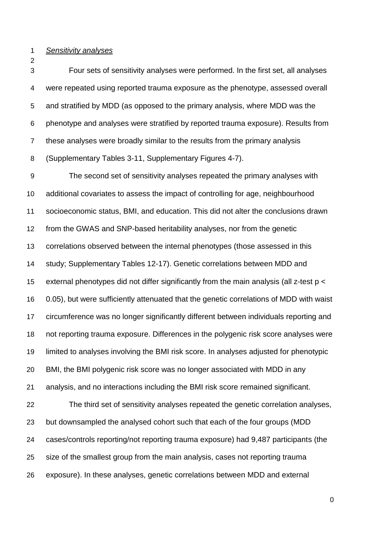#### *Sensitivity analyses*

 Four sets of sensitivity analyses were performed. In the first set, all analyses were repeated using reported trauma exposure as the phenotype, assessed overall and stratified by MDD (as opposed to the primary analysis, where MDD was the phenotype and analyses were stratified by reported trauma exposure). Results from these analyses were broadly similar to the results from the primary analysis (Supplementary Tables 3-11, Supplementary Figures 4-7).

 The second set of sensitivity analyses repeated the primary analyses with additional covariates to assess the impact of controlling for age, neighbourhood socioeconomic status, BMI, and education. This did not alter the conclusions drawn from the GWAS and SNP-based heritability analyses, nor from the genetic correlations observed between the internal phenotypes (those assessed in this study; Supplementary Tables 12-17). Genetic correlations between MDD and external phenotypes did not differ significantly from the main analysis (all z-test p < 0.05), but were sufficiently attenuated that the genetic correlations of MDD with waist circumference was no longer significantly different between individuals reporting and not reporting trauma exposure. Differences in the polygenic risk score analyses were limited to analyses involving the BMI risk score. In analyses adjusted for phenotypic BMI, the BMI polygenic risk score was no longer associated with MDD in any analysis, and no interactions including the BMI risk score remained significant. The third set of sensitivity analyses repeated the genetic correlation analyses, but downsampled the analysed cohort such that each of the four groups (MDD cases/controls reporting/not reporting trauma exposure) had 9,487 participants (the size of the smallest group from the main analysis, cases not reporting trauma exposure). In these analyses, genetic correlations between MDD and external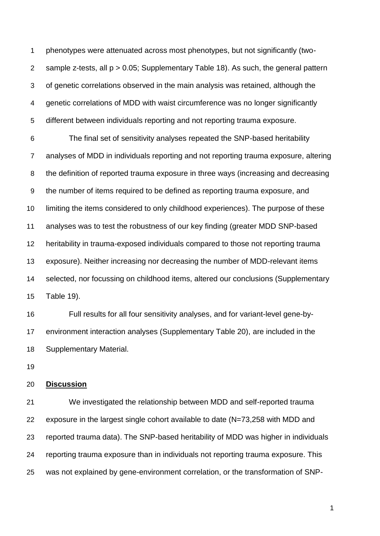phenotypes were attenuated across most phenotypes, but not significantly (two- sample z-tests, all p > 0.05; Supplementary Table 18). As such, the general pattern of genetic correlations observed in the main analysis was retained, although the genetic correlations of MDD with waist circumference was no longer significantly different between individuals reporting and not reporting trauma exposure.

 The final set of sensitivity analyses repeated the SNP-based heritability analyses of MDD in individuals reporting and not reporting trauma exposure, altering the definition of reported trauma exposure in three ways (increasing and decreasing the number of items required to be defined as reporting trauma exposure, and limiting the items considered to only childhood experiences). The purpose of these analyses was to test the robustness of our key finding (greater MDD SNP-based heritability in trauma-exposed individuals compared to those not reporting trauma exposure). Neither increasing nor decreasing the number of MDD-relevant items selected, nor focussing on childhood items, altered our conclusions (Supplementary Table 19).

 Full results for all four sensitivity analyses, and for variant-level gene-by- environment interaction analyses (Supplementary Table 20), are included in the Supplementary Material.

### **Discussion**

 We investigated the relationship between MDD and self-reported trauma exposure in the largest single cohort available to date (N=73,258 with MDD and reported trauma data). The SNP-based heritability of MDD was higher in individuals reporting trauma exposure than in individuals not reporting trauma exposure. This was not explained by gene-environment correlation, or the transformation of SNP-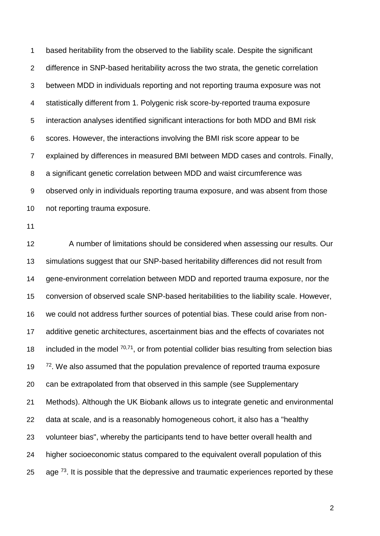based heritability from the observed to the liability scale. Despite the significant difference in SNP-based heritability across the two strata, the genetic correlation between MDD in individuals reporting and not reporting trauma exposure was not statistically different from 1. Polygenic risk score-by-reported trauma exposure interaction analyses identified significant interactions for both MDD and BMI risk scores. However, the interactions involving the BMI risk score appear to be explained by differences in measured BMI between MDD cases and controls. Finally, a significant genetic correlation between MDD and waist circumference was observed only in individuals reporting trauma exposure, and was absent from those not reporting trauma exposure.

 A number of limitations should be considered when assessing our results. Our simulations suggest that our SNP-based heritability differences did not result from gene-environment correlation between MDD and reported trauma exposure, nor the conversion of observed scale SNP-based heritabilities to the liability scale. However, we could not address further sources of potential bias. These could arise from non- additive genetic architectures, ascertainment bias and the effects of covariates not 18 included in the model  $70,71$ , or from potential collider bias resulting from selection bias <sup>[72](https://paperpile.com/c/pZ6sjJ/yiN8)</sup>. We also assumed that the population prevalence of reported trauma exposure can be extrapolated from that observed in this sample (see Supplementary Methods). Although the UK Biobank allows us to integrate genetic and environmental data at scale, and is a reasonably homogeneous cohort, it also has a "healthy volunteer bias", whereby the participants tend to have better overall health and higher socioeconomic status compared to the equivalent overall population of this 25 age  $^{73}$  $^{73}$  $^{73}$ . It is possible that the depressive and traumatic experiences reported by these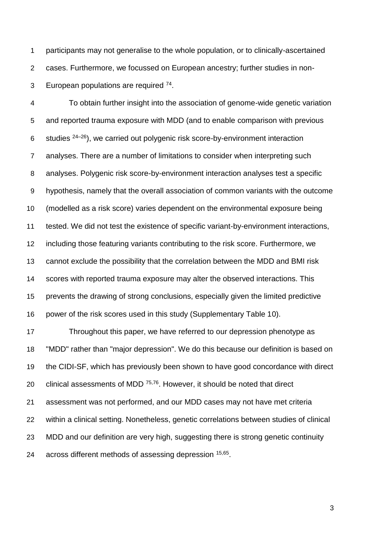participants may not generalise to the whole population, or to clinically-ascertained cases. Furthermore, we focussed on European ancestry; further studies in non-3 European populations are required .

 To obtain further insight into the association of genome-wide genetic variation and reported trauma exposure with MDD (and to enable comparison with previous 6 studies  $24-26$ ), we carried out polygenic risk score-by-environment interaction analyses. There are a number of limitations to consider when interpreting such analyses. Polygenic risk score-by-environment interaction analyses test a specific hypothesis, namely that the overall association of common variants with the outcome (modelled as a risk score) varies dependent on the environmental exposure being tested. We did not test the existence of specific variant-by-environment interactions, including those featuring variants contributing to the risk score. Furthermore, we cannot exclude the possibility that the correlation between the MDD and BMI risk scores with reported trauma exposure may alter the observed interactions. This prevents the drawing of strong conclusions, especially given the limited predictive power of the risk scores used in this study (Supplementary Table 10).

 Throughout this paper, we have referred to our depression phenotype as "MDD" rather than "major depression". We do this because our definition is based on the CIDI-SF, which has previously been shown to have good concordance with direct 20 clinical assessments of MDD  $75,76$ . However, it should be noted that direct assessment was not performed, and our MDD cases may not have met criteria within a clinical setting. Nonetheless, genetic correlations between studies of clinical MDD and our definition are very high, suggesting there is strong genetic continuity 24 across different methods of assessing depression [15,65](https://paperpile.com/c/pZ6sjJ/2uLN+PUr1).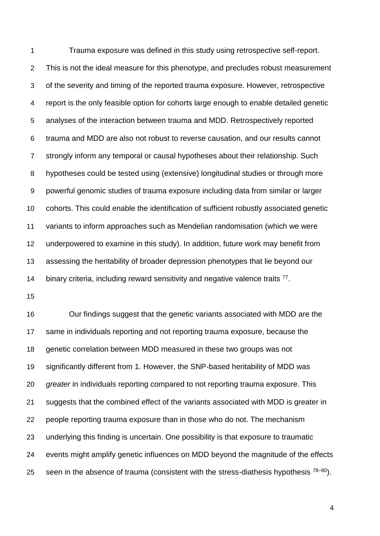Trauma exposure was defined in this study using retrospective self-report. This is not the ideal measure for this phenotype, and precludes robust measurement of the severity and timing of the reported trauma exposure. However, retrospective report is the only feasible option for cohorts large enough to enable detailed genetic analyses of the interaction between trauma and MDD. Retrospectively reported trauma and MDD are also not robust to reverse causation, and our results cannot strongly inform any temporal or causal hypotheses about their relationship. Such hypotheses could be tested using (extensive) longitudinal studies or through more powerful genomic studies of trauma exposure including data from similar or larger cohorts. This could enable the identification of sufficient robustly associated genetic variants to inform approaches such as Mendelian randomisation (which we were underpowered to examine in this study). In addition, future work may benefit from assessing the heritability of broader depression phenotypes that lie beyond our 14 binary criteria, including reward sensitivity and negative valence traits .

 Our findings suggest that the genetic variants associated with MDD are the same in individuals reporting and not reporting trauma exposure, because the genetic correlation between MDD measured in these two groups was not significantly different from 1. However, the SNP-based heritability of MDD was *greater* in individuals reporting compared to not reporting trauma exposure. This suggests that the combined effect of the variants associated with MDD is greater in people reporting trauma exposure than in those who do not. The mechanism underlying this finding is uncertain. One possibility is that exposure to traumatic events might amplify genetic influences on MDD beyond the magnitude of the effects seen in the absence of trauma (consistent with the stress-diathesis hypothesis  $78-80$ ).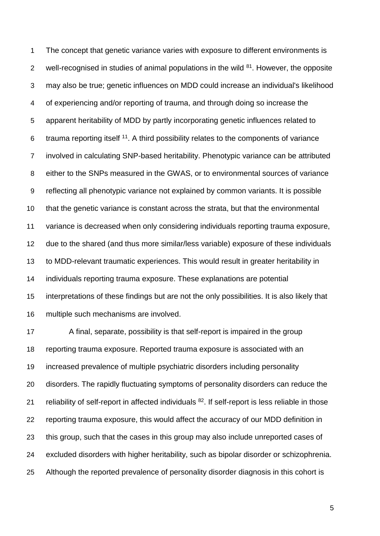The concept that genetic variance varies with exposure to different environments is 2 well-recognised in studies of animal populations in the wild . However, the opposite may also be true; genetic influences on MDD could increase an individual's likelihood of experiencing and/or reporting of trauma, and through doing so increase the apparent heritability of MDD by partly incorporating genetic influences related to 6 trauma reporting itself . A third possibility relates to the components of variance involved in calculating SNP-based heritability. Phenotypic variance can be attributed either to the SNPs measured in the GWAS, or to environmental sources of variance reflecting all phenotypic variance not explained by common variants. It is possible that the genetic variance is constant across the strata, but that the environmental variance is decreased when only considering individuals reporting trauma exposure, due to the shared (and thus more similar/less variable) exposure of these individuals to MDD-relevant traumatic experiences. This would result in greater heritability in individuals reporting trauma exposure. These explanations are potential interpretations of these findings but are not the only possibilities. It is also likely that multiple such mechanisms are involved.

 A final, separate, possibility is that self-report is impaired in the group reporting trauma exposure. Reported trauma exposure is associated with an increased prevalence of multiple psychiatric disorders including personality disorders. The rapidly fluctuating symptoms of personality disorders can reduce the 21 reliability of self-report in affected individuals . If self-report is less reliable in those reporting trauma exposure, this would affect the accuracy of our MDD definition in this group, such that the cases in this group may also include unreported cases of excluded disorders with higher heritability, such as bipolar disorder or schizophrenia. Although the reported prevalence of personality disorder diagnosis in this cohort is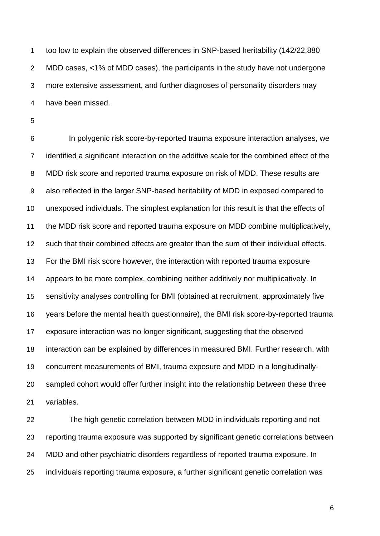too low to explain the observed differences in SNP-based heritability (142/22,880 MDD cases, <1% of MDD cases), the participants in the study have not undergone more extensive assessment, and further diagnoses of personality disorders may have been missed.

 In polygenic risk score-by-reported trauma exposure interaction analyses, we identified a significant interaction on the additive scale for the combined effect of the MDD risk score and reported trauma exposure on risk of MDD. These results are also reflected in the larger SNP-based heritability of MDD in exposed compared to unexposed individuals. The simplest explanation for this result is that the effects of the MDD risk score and reported trauma exposure on MDD combine multiplicatively, such that their combined effects are greater than the sum of their individual effects. For the BMI risk score however, the interaction with reported trauma exposure appears to be more complex, combining neither additively nor multiplicatively. In sensitivity analyses controlling for BMI (obtained at recruitment, approximately five years before the mental health questionnaire), the BMI risk score-by-reported trauma exposure interaction was no longer significant, suggesting that the observed interaction can be explained by differences in measured BMI. Further research, with concurrent measurements of BMI, trauma exposure and MDD in a longitudinally- sampled cohort would offer further insight into the relationship between these three variables.

 The high genetic correlation between MDD in individuals reporting and not reporting trauma exposure was supported by significant genetic correlations between MDD and other psychiatric disorders regardless of reported trauma exposure. In individuals reporting trauma exposure, a further significant genetic correlation was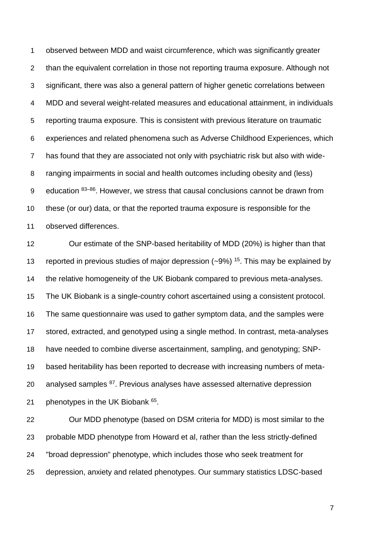observed between MDD and waist circumference, which was significantly greater than the equivalent correlation in those not reporting trauma exposure. Although not significant, there was also a general pattern of higher genetic correlations between MDD and several weight-related measures and educational attainment, in individuals reporting trauma exposure. This is consistent with previous literature on traumatic experiences and related phenomena such as Adverse Childhood Experiences, which has found that they are associated not only with psychiatric risk but also with wide- ranging impairments in social and health outcomes including obesity and (less) 9 education  $83-86$ . However, we stress that causal conclusions cannot be drawn from these (or our) data, or that the reported trauma exposure is responsible for the observed differences.

 Our estimate of the SNP-based heritability of MDD (20%) is higher than that 13 reported in previous studies of major depression  $(-9%)$  <sup>[15](https://paperpile.com/c/pZ6sjJ/2uLN)</sup>. This may be explained by the relative homogeneity of the UK Biobank compared to previous meta-analyses. The UK Biobank is a single-country cohort ascertained using a consistent protocol. The same questionnaire was used to gather symptom data, and the samples were stored, extracted, and genotyped using a single method. In contrast, meta-analyses have needed to combine diverse ascertainment, sampling, and genotyping; SNP- based heritability has been reported to decrease with increasing numbers of meta-20 analysed samples <sup>[87](https://paperpile.com/c/pZ6sjJ/lvwJ)</sup>. Previous analyses have assessed alternative depression 21 phenotypes in the UK Biobank .

 Our MDD phenotype (based on DSM criteria for MDD) is most similar to the probable MDD phenotype from Howard et al, rather than the less strictly-defined "broad depression" phenotype, which includes those who seek treatment for depression, anxiety and related phenotypes. Our summary statistics LDSC-based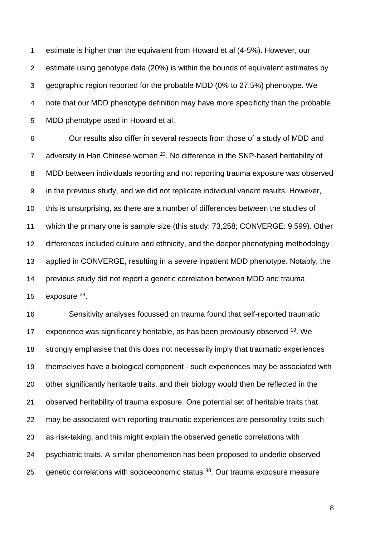estimate is higher than the equivalent from Howard et al (4-5%). However, our estimate using genotype data (20%) is within the bounds of equivalent estimates by geographic region reported for the probable MDD (0% to 27.5%) phenotype. We note that our MDD phenotype definition may have more specificity than the probable MDD phenotype used in Howard et al.

 Our results also differ in several respects from those of a study of MDD and adversity in Han Chinese women  $^{23}$  $^{23}$  $^{23}$ . No difference in the SNP-based heritability of MDD between individuals reporting and not reporting trauma exposure was observed in the previous study, and we did not replicate individual variant results. However, this is unsurprising, as there are a number of differences between the studies of which the primary one is sample size (this study: 73,258; CONVERGE: 9,599). Other differences included culture and ethnicity, and the deeper phenotyping methodology applied in CONVERGE, resulting in a severe inpatient MDD phenotype. Notably, the previous study did not report a genetic correlation between MDD and trauma  $exposure<sup>23</sup>$  $exposure<sup>23</sup>$  $exposure<sup>23</sup>$ .

 Sensitivity analyses focussed on trauma found that self-reported traumatic 17 experience was significantly heritable, as has been previously observed <sup>[19](https://paperpile.com/c/pZ6sjJ/zDpVw)</sup>. We strongly emphasise that this does not necessarily imply that traumatic experiences themselves have a biological component - such experiences may be associated with other significantly heritable traits, and their biology would then be reflected in the observed heritability of trauma exposure. One potential set of heritable traits that may be associated with reporting traumatic experiences are personality traits such as risk-taking, and this might explain the observed genetic correlations with psychiatric traits. A similar phenomenon has been proposed to underlie observed 25 genetic correlations with socioeconomic status <sup>[88](https://paperpile.com/c/pZ6sjJ/Zsx9Z)</sup>. Our trauma exposure measure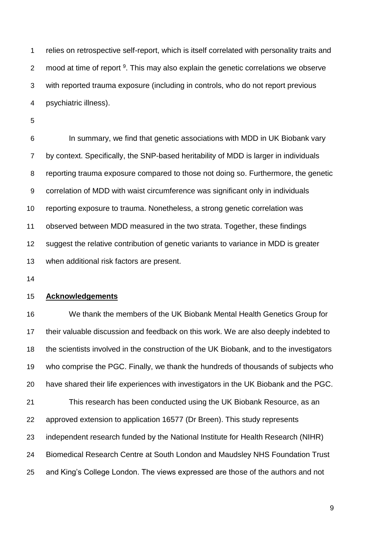relies on retrospective self-report, which is itself correlated with personality traits and 2 mood at time of report . This may also explain the genetic correlations we observe with reported trauma exposure (including in controls, who do not report previous psychiatric illness).

 In summary, we find that genetic associations with MDD in UK Biobank vary by context. Specifically, the SNP-based heritability of MDD is larger in individuals reporting trauma exposure compared to those not doing so. Furthermore, the genetic correlation of MDD with waist circumference was significant only in individuals reporting exposure to trauma. Nonetheless, a strong genetic correlation was observed between MDD measured in the two strata. Together, these findings suggest the relative contribution of genetic variants to variance in MDD is greater when additional risk factors are present.

## **Acknowledgements**

 We thank the members of the UK Biobank Mental Health Genetics Group for their valuable discussion and feedback on this work. We are also deeply indebted to the scientists involved in the construction of the UK Biobank, and to the investigators who comprise the PGC. Finally, we thank the hundreds of thousands of subjects who have shared their life experiences with investigators in the UK Biobank and the PGC. This research has been conducted using the UK Biobank Resource, as an approved extension to application 16577 (Dr Breen). This study represents independent research funded by the National Institute for Health Research (NIHR) Biomedical Research Centre at South London and Maudsley NHS Foundation Trust and King's College London. The views expressed are those of the authors and not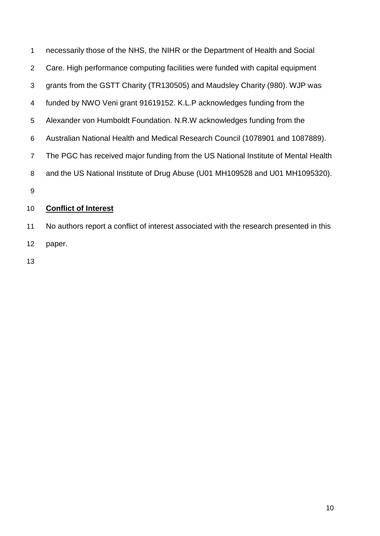necessarily those of the NHS, the NIHR or the Department of Health and Social Care. High performance computing facilities were funded with capital equipment grants from the GSTT Charity (TR130505) and Maudsley Charity (980). WJP was funded by NWO Veni grant 91619152. K.L.P acknowledges funding from the Alexander von Humboldt Foundation. N.R.W acknowledges funding from the Australian National Health and Medical Research Council (1078901 and 1087889). The PGC has received major funding from the US National Institute of Mental Health and the US National Institute of Drug Abuse (U01 MH109528 and U01 MH1095320). **Conflict of Interest**

 No authors report a conflict of interest associated with the research presented in this paper.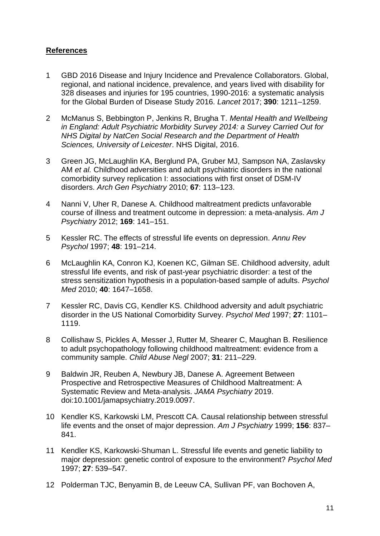# **References**

- 1 [GBD 2016 Disease and Injury Incidence and Prevalence Collaborators. Global,](http://paperpile.com/b/pZ6sjJ/NcGg)  [regional, and national incidence, prevalence, and years lived with disability for](http://paperpile.com/b/pZ6sjJ/NcGg)  [328 diseases and injuries for 195 countries, 1990-2016: a systematic analysis](http://paperpile.com/b/pZ6sjJ/NcGg)  [for the Global Burden of Disease Study 2016.](http://paperpile.com/b/pZ6sjJ/NcGg) *[Lancet](http://paperpile.com/b/pZ6sjJ/NcGg)* [2017;](http://paperpile.com/b/pZ6sjJ/NcGg) **[390](http://paperpile.com/b/pZ6sjJ/NcGg)**[: 1211–1259.](http://paperpile.com/b/pZ6sjJ/NcGg)
- 2 [McManus S, Bebbington P, Jenkins R, Brugha T.](http://paperpile.com/b/pZ6sjJ/SmBx) *[Mental Health and Wellbeing](http://paperpile.com/b/pZ6sjJ/SmBx)  [in England: Adult Psychiatric Morbidity Survey 2014: a Survey Carried Out for](http://paperpile.com/b/pZ6sjJ/SmBx)  [NHS Digital by NatCen Social Research and the Department of Health](http://paperpile.com/b/pZ6sjJ/SmBx)  [Sciences, University of Leicester](http://paperpile.com/b/pZ6sjJ/SmBx)*[. NHS Digital,](http://paperpile.com/b/pZ6sjJ/SmBx) 2016.
- 3 [Green JG, McLaughlin KA, Berglund PA, Gruber MJ, Sampson NA, Zaslavsky](http://paperpile.com/b/pZ6sjJ/1kkO5)  [AM](http://paperpile.com/b/pZ6sjJ/1kkO5) *[et al.](http://paperpile.com/b/pZ6sjJ/1kkO5)* [Childhood adversities and adult psychiatric disorders in the national](http://paperpile.com/b/pZ6sjJ/1kkO5)  [comorbidity survey replication I: associations with first onset of DSM-IV](http://paperpile.com/b/pZ6sjJ/1kkO5)  [disorders.](http://paperpile.com/b/pZ6sjJ/1kkO5) *[Arch Gen Psychiatry](http://paperpile.com/b/pZ6sjJ/1kkO5)* [2010;](http://paperpile.com/b/pZ6sjJ/1kkO5) **[67](http://paperpile.com/b/pZ6sjJ/1kkO5)**[: 113–123.](http://paperpile.com/b/pZ6sjJ/1kkO5)
- 4 [Nanni V, Uher R, Danese A. Childhood maltreatment predicts unfavorable](http://paperpile.com/b/pZ6sjJ/4qZZ)  [course of illness and treatment outcome in depression: a meta-analysis.](http://paperpile.com/b/pZ6sjJ/4qZZ) *[Am J](http://paperpile.com/b/pZ6sjJ/4qZZ)  [Psychiatry](http://paperpile.com/b/pZ6sjJ/4qZZ)* [2012;](http://paperpile.com/b/pZ6sjJ/4qZZ) **[169](http://paperpile.com/b/pZ6sjJ/4qZZ)**[: 141–151.](http://paperpile.com/b/pZ6sjJ/4qZZ)
- 5 [Kessler RC. The effects of stressful life events on depression.](http://paperpile.com/b/pZ6sjJ/IQid) *[Annu Rev](http://paperpile.com/b/pZ6sjJ/IQid)  [Psychol](http://paperpile.com/b/pZ6sjJ/IQid)* [1997;](http://paperpile.com/b/pZ6sjJ/IQid) **[48](http://paperpile.com/b/pZ6sjJ/IQid)**[: 191–214.](http://paperpile.com/b/pZ6sjJ/IQid)
- 6 [McLaughlin KA, Conron KJ, Koenen KC, Gilman SE. Childhood adversity, adult](http://paperpile.com/b/pZ6sjJ/I3Od)  [stressful life events, and risk of past-year psychiatric disorder: a test of the](http://paperpile.com/b/pZ6sjJ/I3Od)  [stress sensitization hypothesis in a population-based sample of adults.](http://paperpile.com/b/pZ6sjJ/I3Od) *[Psychol](http://paperpile.com/b/pZ6sjJ/I3Od)  [Med](http://paperpile.com/b/pZ6sjJ/I3Od)* [2010;](http://paperpile.com/b/pZ6sjJ/I3Od) **[40](http://paperpile.com/b/pZ6sjJ/I3Od)**[: 1647–1658.](http://paperpile.com/b/pZ6sjJ/I3Od)
- 7 [Kessler RC, Davis CG, Kendler KS. Childhood adversity and adult psychiatric](http://paperpile.com/b/pZ6sjJ/OWF1)  [disorder in the US National Comorbidity Survey.](http://paperpile.com/b/pZ6sjJ/OWF1) *[Psychol Med](http://paperpile.com/b/pZ6sjJ/OWF1)* [1997;](http://paperpile.com/b/pZ6sjJ/OWF1) **[27](http://paperpile.com/b/pZ6sjJ/OWF1)**[: 1101–](http://paperpile.com/b/pZ6sjJ/OWF1) [1119.](http://paperpile.com/b/pZ6sjJ/OWF1)
- 8 [Collishaw S, Pickles A, Messer J, Rutter M, Shearer C, Maughan B. Resilience](http://paperpile.com/b/pZ6sjJ/cJje)  [to adult psychopathology following childhood maltreatment: evidence from a](http://paperpile.com/b/pZ6sjJ/cJje)  [community sample.](http://paperpile.com/b/pZ6sjJ/cJje) *[Child Abuse Negl](http://paperpile.com/b/pZ6sjJ/cJje)* [2007;](http://paperpile.com/b/pZ6sjJ/cJje) **[31](http://paperpile.com/b/pZ6sjJ/cJje)**[: 211–229.](http://paperpile.com/b/pZ6sjJ/cJje)
- 9 [Baldwin JR, Reuben A, Newbury JB, Danese A. Agreement Between](http://paperpile.com/b/pZ6sjJ/msKo)  [Prospective and Retrospective Measures of Childhood Maltreatment: A](http://paperpile.com/b/pZ6sjJ/msKo)  [Systematic Review and Meta-analysis.](http://paperpile.com/b/pZ6sjJ/msKo) *[JAMA Psychiatry](http://paperpile.com/b/pZ6sjJ/msKo)* [2019.](http://paperpile.com/b/pZ6sjJ/msKo)  [doi:](http://paperpile.com/b/pZ6sjJ/msKo)[10.1001/jamapsychiatry.2019.0097.](http://dx.doi.org/10.1001/jamapsychiatry.2019.0097)
- 10 [Kendler KS, Karkowski LM, Prescott CA. Causal relationship between stressful](http://paperpile.com/b/pZ6sjJ/Gmw1)  [life events and the onset of major depression.](http://paperpile.com/b/pZ6sjJ/Gmw1) *[Am J Psychiatry](http://paperpile.com/b/pZ6sjJ/Gmw1)* [1999;](http://paperpile.com/b/pZ6sjJ/Gmw1) **[156](http://paperpile.com/b/pZ6sjJ/Gmw1)**[: 837–](http://paperpile.com/b/pZ6sjJ/Gmw1) [841.](http://paperpile.com/b/pZ6sjJ/Gmw1)
- 11 [Kendler KS, Karkowski-Shuman L. Stressful life events and genetic liability to](http://paperpile.com/b/pZ6sjJ/z8G3)  [major depression: genetic control of exposure to the environment?](http://paperpile.com/b/pZ6sjJ/z8G3) *[Psychol Med](http://paperpile.com/b/pZ6sjJ/z8G3)* [1997;](http://paperpile.com/b/pZ6sjJ/z8G3) **[27](http://paperpile.com/b/pZ6sjJ/z8G3)**[: 539–547.](http://paperpile.com/b/pZ6sjJ/z8G3)
- 12 [Polderman TJC, Benyamin B, de Leeuw CA, Sullivan PF, van Bochoven A,](http://paperpile.com/b/pZ6sjJ/l22Ql)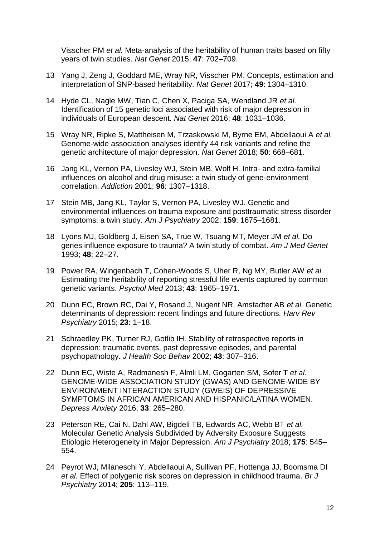[Visscher PM](http://paperpile.com/b/pZ6sjJ/l22Ql) *[et al.](http://paperpile.com/b/pZ6sjJ/l22Ql)* [Meta-analysis of the heritability of human traits based on fifty](http://paperpile.com/b/pZ6sjJ/l22Ql)  [years of twin studies.](http://paperpile.com/b/pZ6sjJ/l22Ql) *[Nat Genet](http://paperpile.com/b/pZ6sjJ/l22Ql)* [2015;](http://paperpile.com/b/pZ6sjJ/l22Ql) **[47](http://paperpile.com/b/pZ6sjJ/l22Ql)**[: 702–709.](http://paperpile.com/b/pZ6sjJ/l22Ql)

- 13 [Yang J, Zeng J, Goddard ME, Wray NR, Visscher PM. Concepts, estimation and](http://paperpile.com/b/pZ6sjJ/pZSL1)  [interpretation of SNP-based heritability.](http://paperpile.com/b/pZ6sjJ/pZSL1) *[Nat Genet](http://paperpile.com/b/pZ6sjJ/pZSL1)* [2017;](http://paperpile.com/b/pZ6sjJ/pZSL1) **[49](http://paperpile.com/b/pZ6sjJ/pZSL1)**[: 1304–1310.](http://paperpile.com/b/pZ6sjJ/pZSL1)
- 14 [Hyde CL, Nagle MW, Tian C, Chen X, Paciga SA, Wendland JR](http://paperpile.com/b/pZ6sjJ/DC5l) *[et al.](http://paperpile.com/b/pZ6sjJ/DC5l)* [Identification of 15 genetic loci associated with risk of major depression in](http://paperpile.com/b/pZ6sjJ/DC5l)  [individuals of European descent.](http://paperpile.com/b/pZ6sjJ/DC5l) *[Nat Genet](http://paperpile.com/b/pZ6sjJ/DC5l)* [2016;](http://paperpile.com/b/pZ6sjJ/DC5l) **[48](http://paperpile.com/b/pZ6sjJ/DC5l)**[: 1031–1036.](http://paperpile.com/b/pZ6sjJ/DC5l)
- 15 [Wray NR, Ripke S, Mattheisen M, Trzaskowski M, Byrne EM, Abdellaoui A](http://paperpile.com/b/pZ6sjJ/2uLN) *[et al.](http://paperpile.com/b/pZ6sjJ/2uLN)* [Genome-wide association analyses identify 44 risk variants and refine the](http://paperpile.com/b/pZ6sjJ/2uLN)  [genetic architecture of major depression.](http://paperpile.com/b/pZ6sjJ/2uLN) *[Nat Genet](http://paperpile.com/b/pZ6sjJ/2uLN)* [2018;](http://paperpile.com/b/pZ6sjJ/2uLN) **[50](http://paperpile.com/b/pZ6sjJ/2uLN)**[: 668–681.](http://paperpile.com/b/pZ6sjJ/2uLN)
- 16 [Jang KL, Vernon PA, Livesley WJ, Stein MB, Wolf H. Intra-](http://paperpile.com/b/pZ6sjJ/71s3) and extra-familial [influences on alcohol and drug misuse: a twin study of gene-environment](http://paperpile.com/b/pZ6sjJ/71s3)  [correlation.](http://paperpile.com/b/pZ6sjJ/71s3) *[Addiction](http://paperpile.com/b/pZ6sjJ/71s3)* [2001;](http://paperpile.com/b/pZ6sjJ/71s3) **[96](http://paperpile.com/b/pZ6sjJ/71s3)**[: 1307–1318.](http://paperpile.com/b/pZ6sjJ/71s3)
- 17 [Stein MB, Jang KL, Taylor S, Vernon PA, Livesley WJ. Genetic and](http://paperpile.com/b/pZ6sjJ/45PV)  [environmental influences on trauma exposure and posttraumatic stress disorder](http://paperpile.com/b/pZ6sjJ/45PV)  [symptoms: a twin study.](http://paperpile.com/b/pZ6sjJ/45PV) *[Am J Psychiatry](http://paperpile.com/b/pZ6sjJ/45PV)* [2002;](http://paperpile.com/b/pZ6sjJ/45PV) **[159](http://paperpile.com/b/pZ6sjJ/45PV)**[: 1675–1681.](http://paperpile.com/b/pZ6sjJ/45PV)
- 18 [Lyons MJ, Goldberg J, Eisen SA, True W, Tsuang MT, Meyer JM](http://paperpile.com/b/pZ6sjJ/W97M) *[et al.](http://paperpile.com/b/pZ6sjJ/W97M)* [Do](http://paperpile.com/b/pZ6sjJ/W97M)  [genes influence exposure to trauma? A twin study of combat.](http://paperpile.com/b/pZ6sjJ/W97M) *[Am J Med Genet](http://paperpile.com/b/pZ6sjJ/W97M)* [1993;](http://paperpile.com/b/pZ6sjJ/W97M) **[48](http://paperpile.com/b/pZ6sjJ/W97M)**[: 22–27.](http://paperpile.com/b/pZ6sjJ/W97M)
- 19 [Power RA, Wingenbach T, Cohen-Woods S, Uher R, Ng MY, Butler AW](http://paperpile.com/b/pZ6sjJ/zDpVw) *[et al.](http://paperpile.com/b/pZ6sjJ/zDpVw)* [Estimating the heritability of reporting stressful life events captured by common](http://paperpile.com/b/pZ6sjJ/zDpVw)  [genetic variants.](http://paperpile.com/b/pZ6sjJ/zDpVw) *[Psychol Med](http://paperpile.com/b/pZ6sjJ/zDpVw)* [2013;](http://paperpile.com/b/pZ6sjJ/zDpVw) **[43](http://paperpile.com/b/pZ6sjJ/zDpVw)**[: 1965–1971.](http://paperpile.com/b/pZ6sjJ/zDpVw)
- 20 [Dunn EC, Brown RC, Dai Y, Rosand J, Nugent NR, Amstadter AB](http://paperpile.com/b/pZ6sjJ/1Qor) *[et al.](http://paperpile.com/b/pZ6sjJ/1Qor)* [Genetic](http://paperpile.com/b/pZ6sjJ/1Qor)  [determinants of depression: recent findings and future directions.](http://paperpile.com/b/pZ6sjJ/1Qor) *[Harv Rev](http://paperpile.com/b/pZ6sjJ/1Qor)  [Psychiatry](http://paperpile.com/b/pZ6sjJ/1Qor)* [2015;](http://paperpile.com/b/pZ6sjJ/1Qor) **[23](http://paperpile.com/b/pZ6sjJ/1Qor)**[: 1–18.](http://paperpile.com/b/pZ6sjJ/1Qor)
- 21 Schraedley PK, Turner RJ, Gotlib IH. Stability of retrospective reports in [depression: traumatic events, past depressive episodes, and parental](http://paperpile.com/b/pZ6sjJ/XUV2)  [psychopathology.](http://paperpile.com/b/pZ6sjJ/XUV2) *[J Health Soc Behav](http://paperpile.com/b/pZ6sjJ/XUV2)* [2002;](http://paperpile.com/b/pZ6sjJ/XUV2) **[43](http://paperpile.com/b/pZ6sjJ/XUV2)**[: 307–316.](http://paperpile.com/b/pZ6sjJ/XUV2)
- 22 [Dunn EC, Wiste A, Radmanesh F, Almli LM, Gogarten SM,](http://paperpile.com/b/pZ6sjJ/iJrm) Sofer T *[et al.](http://paperpile.com/b/pZ6sjJ/iJrm)* [GENOME-WIDE ASSOCIATION STUDY \(GWAS\) AND GENOME-WIDE BY](http://paperpile.com/b/pZ6sjJ/iJrm)  [ENVIRONMENT INTERACTION STUDY \(GWEIS\) OF DEPRESSIVE](http://paperpile.com/b/pZ6sjJ/iJrm)  [SYMPTOMS IN AFRICAN AMERICAN AND HISPANIC/LATINA WOMEN.](http://paperpile.com/b/pZ6sjJ/iJrm)  *[Depress Anxiety](http://paperpile.com/b/pZ6sjJ/iJrm)* [2016;](http://paperpile.com/b/pZ6sjJ/iJrm) **[33](http://paperpile.com/b/pZ6sjJ/iJrm)**[: 265–280.](http://paperpile.com/b/pZ6sjJ/iJrm)
- 23 [Peterson RE, Cai N, Dahl AW, Bigdeli TB, Edwards AC, Webb BT](http://paperpile.com/b/pZ6sjJ/b4Ex) *[et al.](http://paperpile.com/b/pZ6sjJ/b4Ex)* [Molecular Genetic Analysis Subdivided by Adversity Exposure Suggests](http://paperpile.com/b/pZ6sjJ/b4Ex)  [Etiologic Heterogeneity in Major Depression.](http://paperpile.com/b/pZ6sjJ/b4Ex) *[Am J Psychiatry](http://paperpile.com/b/pZ6sjJ/b4Ex)* [2018;](http://paperpile.com/b/pZ6sjJ/b4Ex) **[175](http://paperpile.com/b/pZ6sjJ/b4Ex)**[: 545–](http://paperpile.com/b/pZ6sjJ/b4Ex) [554.](http://paperpile.com/b/pZ6sjJ/b4Ex)
- 24 [Peyrot WJ, Milaneschi Y, Abdellaoui A, Sullivan PF, Hottenga JJ, Boomsma DI](http://paperpile.com/b/pZ6sjJ/ghwM)  *[et al.](http://paperpile.com/b/pZ6sjJ/ghwM)* [Effect of polygenic risk scores on depression in childhood trauma.](http://paperpile.com/b/pZ6sjJ/ghwM) *[Br J](http://paperpile.com/b/pZ6sjJ/ghwM)  [Psychiatry](http://paperpile.com/b/pZ6sjJ/ghwM)* [2014;](http://paperpile.com/b/pZ6sjJ/ghwM) **[205](http://paperpile.com/b/pZ6sjJ/ghwM)**[: 113–119.](http://paperpile.com/b/pZ6sjJ/ghwM)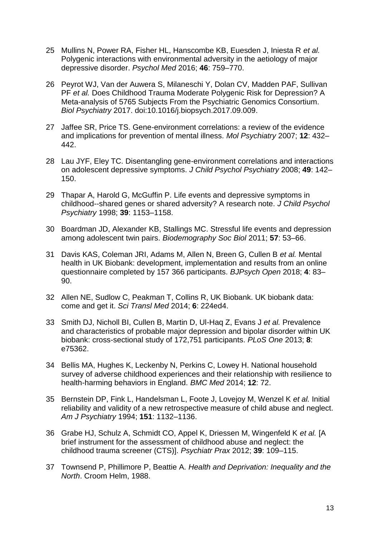- 25 [Mullins N, Power RA, Fisher HL, Hanscombe KB, Euesden J, Iniesta R](http://paperpile.com/b/pZ6sjJ/4mFS) *[et al.](http://paperpile.com/b/pZ6sjJ/4mFS)* [Polygenic interactions with environmental adversity in the aetiology of major](http://paperpile.com/b/pZ6sjJ/4mFS)  [depressive disorder.](http://paperpile.com/b/pZ6sjJ/4mFS) *[Psychol Med](http://paperpile.com/b/pZ6sjJ/4mFS)* [2016;](http://paperpile.com/b/pZ6sjJ/4mFS) **[46](http://paperpile.com/b/pZ6sjJ/4mFS)**[: 759–770.](http://paperpile.com/b/pZ6sjJ/4mFS)
- 26 [Peyrot WJ, Van der Auwera S, Milaneschi Y, Dolan CV, Madden PAF, Sullivan](http://paperpile.com/b/pZ6sjJ/53xf)  [PF](http://paperpile.com/b/pZ6sjJ/53xf) *[et al.](http://paperpile.com/b/pZ6sjJ/53xf)* [Does Childhood Trauma Moderate Polygenic Risk for Depression? A](http://paperpile.com/b/pZ6sjJ/53xf)  [Meta-analysis of 5765 Subjects From the Psychiatric Genomics Consortium.](http://paperpile.com/b/pZ6sjJ/53xf)  *[Biol Psychiatry](http://paperpile.com/b/pZ6sjJ/53xf)* [2017. doi:](http://paperpile.com/b/pZ6sjJ/53xf)[10.1016/j.biopsych.2017.09.009.](http://dx.doi.org/10.1016/j.biopsych.2017.09.009)
- 27 [Jaffee SR, Price TS. Gene-environment correlations: a review of the evidence](http://paperpile.com/b/pZ6sjJ/6xdQ)  [and implications for prevention of mental illness.](http://paperpile.com/b/pZ6sjJ/6xdQ) *[Mol Psychiatry](http://paperpile.com/b/pZ6sjJ/6xdQ)* [2007;](http://paperpile.com/b/pZ6sjJ/6xdQ) **[12](http://paperpile.com/b/pZ6sjJ/6xdQ)**[: 432–](http://paperpile.com/b/pZ6sjJ/6xdQ) [442.](http://paperpile.com/b/pZ6sjJ/6xdQ)
- 28 [Lau JYF, Eley TC. Disentangling gene-environment correlations and interactions](http://paperpile.com/b/pZ6sjJ/Jm7T)  [on adolescent depressive symptoms.](http://paperpile.com/b/pZ6sjJ/Jm7T) *[J Child Psychol Psychiatry](http://paperpile.com/b/pZ6sjJ/Jm7T)* [2008;](http://paperpile.com/b/pZ6sjJ/Jm7T) **[49](http://paperpile.com/b/pZ6sjJ/Jm7T)**[: 142–](http://paperpile.com/b/pZ6sjJ/Jm7T) [150.](http://paperpile.com/b/pZ6sjJ/Jm7T)
- 29 [Thapar A, Harold G, McGuffin P. Life events and depressive symptoms in](http://paperpile.com/b/pZ6sjJ/yIvS)  [childhood--shared genes or shared adversity? A research note.](http://paperpile.com/b/pZ6sjJ/yIvS) *[J Child Psychol](http://paperpile.com/b/pZ6sjJ/yIvS)  [Psychiatry](http://paperpile.com/b/pZ6sjJ/yIvS)* [1998;](http://paperpile.com/b/pZ6sjJ/yIvS) **[39](http://paperpile.com/b/pZ6sjJ/yIvS)**[: 1153–1158.](http://paperpile.com/b/pZ6sjJ/yIvS)
- 30 [Boardman JD, Alexander KB, Stallings MC. Stressful life events and depression](http://paperpile.com/b/pZ6sjJ/zRIJ)  [among adolescent twin pairs.](http://paperpile.com/b/pZ6sjJ/zRIJ) *[Biodemography Soc Biol](http://paperpile.com/b/pZ6sjJ/zRIJ)* [2011;](http://paperpile.com/b/pZ6sjJ/zRIJ) **[57](http://paperpile.com/b/pZ6sjJ/zRIJ)**[: 53–66.](http://paperpile.com/b/pZ6sjJ/zRIJ)
- 31 [Davis KAS, Coleman JRI, Adams M, Allen N, Breen G, Cullen B](http://paperpile.com/b/pZ6sjJ/yokW) *[et al.](http://paperpile.com/b/pZ6sjJ/yokW)* [Mental](http://paperpile.com/b/pZ6sjJ/yokW)  [health in UK Biobank: development, implementation and results from an online](http://paperpile.com/b/pZ6sjJ/yokW)  [questionnaire completed by 157 366 participants.](http://paperpile.com/b/pZ6sjJ/yokW) *[BJPsych Open](http://paperpile.com/b/pZ6sjJ/yokW)* [2018;](http://paperpile.com/b/pZ6sjJ/yokW) **[4](http://paperpile.com/b/pZ6sjJ/yokW)**[: 83–](http://paperpile.com/b/pZ6sjJ/yokW) [90.](http://paperpile.com/b/pZ6sjJ/yokW)
- 32 [Allen NE, Sudlow C, Peakman T, Collins R, UK Biobank. UK biobank data:](http://paperpile.com/b/pZ6sjJ/O8S2K)  [come and get it.](http://paperpile.com/b/pZ6sjJ/O8S2K) *[Sci Transl Med](http://paperpile.com/b/pZ6sjJ/O8S2K)* [2014;](http://paperpile.com/b/pZ6sjJ/O8S2K) **[6](http://paperpile.com/b/pZ6sjJ/O8S2K)**[: 224ed4.](http://paperpile.com/b/pZ6sjJ/O8S2K)
- 33 [Smith DJ, Nicholl BI, Cullen B, Martin D, Ul-Haq Z, Evans J](http://paperpile.com/b/pZ6sjJ/Z9E0) *[et al.](http://paperpile.com/b/pZ6sjJ/Z9E0)* [Prevalence](http://paperpile.com/b/pZ6sjJ/Z9E0)  [and characteristics of probable major depression and bipolar disorder within UK](http://paperpile.com/b/pZ6sjJ/Z9E0)  [biobank: cross-sectional study of 172,751 participants.](http://paperpile.com/b/pZ6sjJ/Z9E0) *[PLoS One](http://paperpile.com/b/pZ6sjJ/Z9E0)* [2013;](http://paperpile.com/b/pZ6sjJ/Z9E0) **[8](http://paperpile.com/b/pZ6sjJ/Z9E0)**[:](http://paperpile.com/b/pZ6sjJ/Z9E0)  [e75362.](http://paperpile.com/b/pZ6sjJ/Z9E0)
- 34 [Bellis MA, Hughes K, Leckenby N, Perkins C, Lowey H. National household](http://paperpile.com/b/pZ6sjJ/cAZj)  [survey of adverse childhood experiences and their relationship with resilience to](http://paperpile.com/b/pZ6sjJ/cAZj)  [health-harming behaviors in England.](http://paperpile.com/b/pZ6sjJ/cAZj) *[BMC Med](http://paperpile.com/b/pZ6sjJ/cAZj)* [2014;](http://paperpile.com/b/pZ6sjJ/cAZj) **[12](http://paperpile.com/b/pZ6sjJ/cAZj)**[: 72.](http://paperpile.com/b/pZ6sjJ/cAZj)
- 35 [Bernstein DP, Fink L, Handelsman L, Foote J, Lovejoy M, Wenzel K](http://paperpile.com/b/pZ6sjJ/CMLr) *[et al.](http://paperpile.com/b/pZ6sjJ/CMLr)* [Initial](http://paperpile.com/b/pZ6sjJ/CMLr)  [reliability and validity of a new retrospective measure of child abuse and neglect.](http://paperpile.com/b/pZ6sjJ/CMLr)  *[Am J Psychiatry](http://paperpile.com/b/pZ6sjJ/CMLr)* [1994;](http://paperpile.com/b/pZ6sjJ/CMLr) **[151](http://paperpile.com/b/pZ6sjJ/CMLr)**[: 1132–1136.](http://paperpile.com/b/pZ6sjJ/CMLr)
- 36 [Grabe HJ, Schulz A, Schmidt CO, Appel K, Driessen M, Wingenfeld K](http://paperpile.com/b/pZ6sjJ/gYCg) *[et al.](http://paperpile.com/b/pZ6sjJ/gYCg)* [\[A](http://paperpile.com/b/pZ6sjJ/gYCg)  [brief instrument for the assessment of childhood abuse and neglect: the](http://paperpile.com/b/pZ6sjJ/gYCg)  [childhood trauma screener \(CTS\)\].](http://paperpile.com/b/pZ6sjJ/gYCg) *[Psychiatr Prax](http://paperpile.com/b/pZ6sjJ/gYCg)* [2012;](http://paperpile.com/b/pZ6sjJ/gYCg) **[39](http://paperpile.com/b/pZ6sjJ/gYCg)**[: 109–115.](http://paperpile.com/b/pZ6sjJ/gYCg)
- 37 [Townsend P, Phillimore P, Beattie A.](http://paperpile.com/b/pZ6sjJ/lkpX) *[Health and Deprivation: Inequality and the](http://paperpile.com/b/pZ6sjJ/lkpX)  [North](http://paperpile.com/b/pZ6sjJ/lkpX)*[. Croom Helm, 1988.](http://paperpile.com/b/pZ6sjJ/lkpX)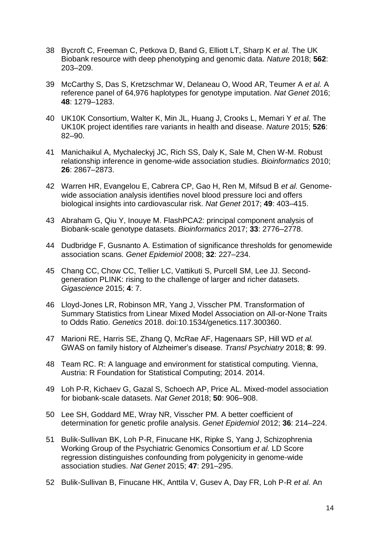- 38 [Bycroft C, Freeman C, Petkova D, Band G, Elliott LT, Sharp K](http://paperpile.com/b/pZ6sjJ/GmA6) *[et al.](http://paperpile.com/b/pZ6sjJ/GmA6)* [The UK](http://paperpile.com/b/pZ6sjJ/GmA6)  [Biobank resource with deep phenotyping and genomic data.](http://paperpile.com/b/pZ6sjJ/GmA6) *[Nature](http://paperpile.com/b/pZ6sjJ/GmA6)* [2018;](http://paperpile.com/b/pZ6sjJ/GmA6) **[562](http://paperpile.com/b/pZ6sjJ/GmA6)**[:](http://paperpile.com/b/pZ6sjJ/GmA6)  [203–209.](http://paperpile.com/b/pZ6sjJ/GmA6)
- 39 [McCarthy S, Das S, Kretzschmar W, Delaneau O, Wood AR, Teumer A](http://paperpile.com/b/pZ6sjJ/YTEDv) *[et al.](http://paperpile.com/b/pZ6sjJ/YTEDv)* [A](http://paperpile.com/b/pZ6sjJ/YTEDv)  [reference panel of 64,976 haplotypes for genotype imputation.](http://paperpile.com/b/pZ6sjJ/YTEDv) *[Nat Genet](http://paperpile.com/b/pZ6sjJ/YTEDv)* [2016;](http://paperpile.com/b/pZ6sjJ/YTEDv)  **[48](http://paperpile.com/b/pZ6sjJ/YTEDv)**[: 1279–1283.](http://paperpile.com/b/pZ6sjJ/YTEDv)
- 40 [UK10K Consortium, Walter K, Min JL, Huang J, Crooks L, Memari Y](http://paperpile.com/b/pZ6sjJ/DK6CX) *[et al.](http://paperpile.com/b/pZ6sjJ/DK6CX)* [The](http://paperpile.com/b/pZ6sjJ/DK6CX)  [UK10K project identifies rare variants in health and disease.](http://paperpile.com/b/pZ6sjJ/DK6CX) *[Nature](http://paperpile.com/b/pZ6sjJ/DK6CX)* [2015;](http://paperpile.com/b/pZ6sjJ/DK6CX) **[526](http://paperpile.com/b/pZ6sjJ/DK6CX)**[:](http://paperpile.com/b/pZ6sjJ/DK6CX)  [82–90.](http://paperpile.com/b/pZ6sjJ/DK6CX)
- 41 [Manichaikul A, Mychaleckyj JC, Rich SS, Daly K, Sale M, Chen W-M. Robust](http://paperpile.com/b/pZ6sjJ/G6SG)  [relationship inference in genome-wide association studies.](http://paperpile.com/b/pZ6sjJ/G6SG) *[Bioinformatics](http://paperpile.com/b/pZ6sjJ/G6SG)* [2010;](http://paperpile.com/b/pZ6sjJ/G6SG)  **[26](http://paperpile.com/b/pZ6sjJ/G6SG)**[: 2867–2873.](http://paperpile.com/b/pZ6sjJ/G6SG)
- 42 [Warren HR, Evangelou E, Cabrera CP, Gao H, Ren M, Mifsud B](http://paperpile.com/b/pZ6sjJ/KlmMV) *[et al.](http://paperpile.com/b/pZ6sjJ/KlmMV)* [Genome](http://paperpile.com/b/pZ6sjJ/KlmMV)[wide association analysis identifies novel blood pressure loci and offers](http://paperpile.com/b/pZ6sjJ/KlmMV)  [biological insights into cardiovascular risk.](http://paperpile.com/b/pZ6sjJ/KlmMV) *[Nat Genet](http://paperpile.com/b/pZ6sjJ/KlmMV)* [2017;](http://paperpile.com/b/pZ6sjJ/KlmMV) **[49](http://paperpile.com/b/pZ6sjJ/KlmMV)**[: 403–415.](http://paperpile.com/b/pZ6sjJ/KlmMV)
- 43 [Abraham G, Qiu Y, Inouye M. FlashPCA2: principal component analysis of](http://paperpile.com/b/pZ6sjJ/EXplV)  [Biobank-scale genotype datasets.](http://paperpile.com/b/pZ6sjJ/EXplV) *[Bioinformatics](http://paperpile.com/b/pZ6sjJ/EXplV)* [2017;](http://paperpile.com/b/pZ6sjJ/EXplV) **[33](http://paperpile.com/b/pZ6sjJ/EXplV)**[: 2776–2778.](http://paperpile.com/b/pZ6sjJ/EXplV)
- 44 [Dudbridge F, Gusnanto A. Estimation of significance thresholds for genomewide](http://paperpile.com/b/pZ6sjJ/Jr7zz)  [association scans.](http://paperpile.com/b/pZ6sjJ/Jr7zz) *[Genet Epidemiol](http://paperpile.com/b/pZ6sjJ/Jr7zz)* [2008;](http://paperpile.com/b/pZ6sjJ/Jr7zz) **[32](http://paperpile.com/b/pZ6sjJ/Jr7zz)**[: 227–234.](http://paperpile.com/b/pZ6sjJ/Jr7zz)
- 45 Chang CC, Chow [CC, Tellier LC, Vattikuti S, Purcell SM, Lee JJ. Second](http://paperpile.com/b/pZ6sjJ/if5BG)[generation PLINK: rising to the challenge of larger and richer datasets.](http://paperpile.com/b/pZ6sjJ/if5BG)  *[Gigascience](http://paperpile.com/b/pZ6sjJ/if5BG)* [2015;](http://paperpile.com/b/pZ6sjJ/if5BG) **[4](http://paperpile.com/b/pZ6sjJ/if5BG)**[: 7.](http://paperpile.com/b/pZ6sjJ/if5BG)
- 46 [Lloyd-Jones LR, Robinson MR, Yang J, Visscher PM. Transformation of](http://paperpile.com/b/pZ6sjJ/YCiw)  [Summary Statistics from Linear Mixed Model Association on All-or-None Traits](http://paperpile.com/b/pZ6sjJ/YCiw)  [to Odds Ratio.](http://paperpile.com/b/pZ6sjJ/YCiw) *[Genetics](http://paperpile.com/b/pZ6sjJ/YCiw)* [2018. doi:10.1534/genetics.117.300360.](http://paperpile.com/b/pZ6sjJ/YCiw)
- 47 [Marioni RE, Harris SE, Zhang Q, McRae AF, Hagenaars SP, Hill WD](http://paperpile.com/b/pZ6sjJ/MsLG) *[et al.](http://paperpile.com/b/pZ6sjJ/MsLG)* [GWAS on family history of Alzheimer's disease.](http://paperpile.com/b/pZ6sjJ/MsLG) *[Transl Psychiatry](http://paperpile.com/b/pZ6sjJ/MsLG)* [2018;](http://paperpile.com/b/pZ6sjJ/MsLG) **[8](http://paperpile.com/b/pZ6sjJ/MsLG)**[: 99.](http://paperpile.com/b/pZ6sjJ/MsLG)
- 48 [Team RC. R: A language and environment for statistical computing. Vienna,](http://paperpile.com/b/pZ6sjJ/NQGky)  [Austria: R Foundation for Statistical Computing; 2014. 2014.](http://paperpile.com/b/pZ6sjJ/NQGky)
- 49 [Loh P-R, Kichaev G, Gazal S, Schoech AP, Price AL. Mixed-model association](http://paperpile.com/b/pZ6sjJ/0PwV)  [for biobank-scale datasets.](http://paperpile.com/b/pZ6sjJ/0PwV) *[Nat Genet](http://paperpile.com/b/pZ6sjJ/0PwV)* [2018;](http://paperpile.com/b/pZ6sjJ/0PwV) **[50](http://paperpile.com/b/pZ6sjJ/0PwV)**[: 906–908.](http://paperpile.com/b/pZ6sjJ/0PwV)
- 50 [Lee SH, Goddard ME, Wray NR, Visscher PM. A better coefficient of](http://paperpile.com/b/pZ6sjJ/yksb)  [determination for genetic profile analysis.](http://paperpile.com/b/pZ6sjJ/yksb) *[Genet Epidemiol](http://paperpile.com/b/pZ6sjJ/yksb)* [2012;](http://paperpile.com/b/pZ6sjJ/yksb) **[36](http://paperpile.com/b/pZ6sjJ/yksb)**[: 214–224.](http://paperpile.com/b/pZ6sjJ/yksb)
- 51 [Bulik-Sullivan BK, Loh P-R, Finucane HK, Ripke S, Yang J, Schizophrenia](http://paperpile.com/b/pZ6sjJ/yQy5M)  [Working Group of the Psychiatric Genomics Consortium](http://paperpile.com/b/pZ6sjJ/yQy5M) *[et al.](http://paperpile.com/b/pZ6sjJ/yQy5M)* [LD Score](http://paperpile.com/b/pZ6sjJ/yQy5M)  [regression distinguishes confounding from polygenicity in genome-wide](http://paperpile.com/b/pZ6sjJ/yQy5M)  [association studies.](http://paperpile.com/b/pZ6sjJ/yQy5M) *[Nat Genet](http://paperpile.com/b/pZ6sjJ/yQy5M)* [2015;](http://paperpile.com/b/pZ6sjJ/yQy5M) **[47](http://paperpile.com/b/pZ6sjJ/yQy5M)**[: 291–295.](http://paperpile.com/b/pZ6sjJ/yQy5M)
- 52 [Bulik-Sullivan B, Finucane HK, Anttila V, Gusev A, Day FR, Loh P-R](http://paperpile.com/b/pZ6sjJ/tcKPm) *[et al.](http://paperpile.com/b/pZ6sjJ/tcKPm)* [An](http://paperpile.com/b/pZ6sjJ/tcKPm)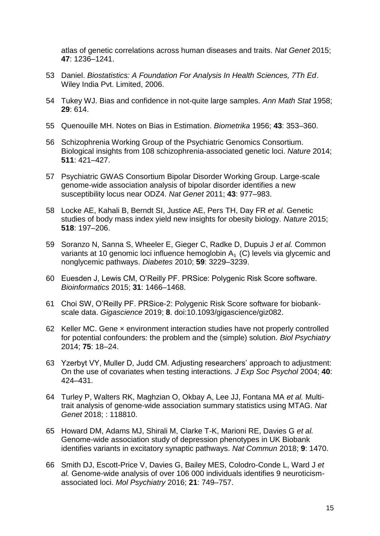[atlas of genetic correlations across human diseases and traits.](http://paperpile.com/b/pZ6sjJ/tcKPm) *[Nat Genet](http://paperpile.com/b/pZ6sjJ/tcKPm)* [2015;](http://paperpile.com/b/pZ6sjJ/tcKPm)  **[47](http://paperpile.com/b/pZ6sjJ/tcKPm)**[: 1236–1241.](http://paperpile.com/b/pZ6sjJ/tcKPm)

- 53 [Daniel.](http://paperpile.com/b/pZ6sjJ/wEJ1) *[Biostatistics: A Foundation For Analysis In Health Sciences, 7Th Ed](http://paperpile.com/b/pZ6sjJ/wEJ1)*[.](http://paperpile.com/b/pZ6sjJ/wEJ1)  [Wiley India Pvt. Limited, 2006.](http://paperpile.com/b/pZ6sjJ/wEJ1)
- 54 [Tukey WJ. Bias and confidence in not-quite large samples.](http://paperpile.com/b/pZ6sjJ/L8X6) *[Ann Math Stat](http://paperpile.com/b/pZ6sjJ/L8X6)* [1958;](http://paperpile.com/b/pZ6sjJ/L8X6)  **[29](http://paperpile.com/b/pZ6sjJ/L8X6)**[: 614.](http://paperpile.com/b/pZ6sjJ/L8X6)
- 55 [Quenouille MH. Notes on Bias in Estimation.](http://paperpile.com/b/pZ6sjJ/whwn) *[Biometrika](http://paperpile.com/b/pZ6sjJ/whwn)* [1956;](http://paperpile.com/b/pZ6sjJ/whwn) **[43](http://paperpile.com/b/pZ6sjJ/whwn)**[: 353–360.](http://paperpile.com/b/pZ6sjJ/whwn)
- 56 [Schizophrenia Working Group of the Psychiatric Genomics Consortium.](http://paperpile.com/b/pZ6sjJ/pO7N3)  [Biological insights from 108 schizophrenia-associated genetic loci.](http://paperpile.com/b/pZ6sjJ/pO7N3) *[Nature](http://paperpile.com/b/pZ6sjJ/pO7N3)* [2014;](http://paperpile.com/b/pZ6sjJ/pO7N3)  **[511](http://paperpile.com/b/pZ6sjJ/pO7N3)**[: 421–427.](http://paperpile.com/b/pZ6sjJ/pO7N3)
- 57 [Psychiatric GWAS Consortium Bipolar Disorder Working Group. Large-scale](http://paperpile.com/b/pZ6sjJ/7SvPj)  [genome-wide association analysis of bipolar disorder identifies a new](http://paperpile.com/b/pZ6sjJ/7SvPj)  [susceptibility locus near ODZ4.](http://paperpile.com/b/pZ6sjJ/7SvPj) *[Nat Genet](http://paperpile.com/b/pZ6sjJ/7SvPj)* [2011;](http://paperpile.com/b/pZ6sjJ/7SvPj) **[43](http://paperpile.com/b/pZ6sjJ/7SvPj)**[: 977–983.](http://paperpile.com/b/pZ6sjJ/7SvPj)
- 58 [Locke AE, Kahali B, Berndt SI, Justice AE, Pers](http://paperpile.com/b/pZ6sjJ/vEhUT) TH, Day FR *[et al.](http://paperpile.com/b/pZ6sjJ/vEhUT)* [Genetic](http://paperpile.com/b/pZ6sjJ/vEhUT)  [studies of body mass index yield new insights for obesity biology.](http://paperpile.com/b/pZ6sjJ/vEhUT) *[Nature](http://paperpile.com/b/pZ6sjJ/vEhUT)* [2015;](http://paperpile.com/b/pZ6sjJ/vEhUT)  **[518](http://paperpile.com/b/pZ6sjJ/vEhUT)**[: 197–206.](http://paperpile.com/b/pZ6sjJ/vEhUT)
- 59 [Soranzo N, Sanna S, Wheeler E, Gieger C, Radke D, Dupuis J](http://paperpile.com/b/pZ6sjJ/G1bXx) *[et al.](http://paperpile.com/b/pZ6sjJ/G1bXx)* [Common](http://paperpile.com/b/pZ6sjJ/G1bXx)  [variants at 10 genomic loci influence hemoglobin A](http://paperpile.com/b/pZ6sjJ/G1bXx)<sub>1</sub> (C) levels via glycemic and [nonglycemic pathways.](http://paperpile.com/b/pZ6sjJ/G1bXx) *[Diabetes](http://paperpile.com/b/pZ6sjJ/G1bXx)* [2010;](http://paperpile.com/b/pZ6sjJ/G1bXx) **[59](http://paperpile.com/b/pZ6sjJ/G1bXx)**[: 3229–3239.](http://paperpile.com/b/pZ6sjJ/G1bXx)
- 60 [Euesden J, Lewis CM, O'Reilly PF. PRSice: Polygenic Risk Score software.](http://paperpile.com/b/pZ6sjJ/eO9zr)  *[Bioinformatics](http://paperpile.com/b/pZ6sjJ/eO9zr)* [2015;](http://paperpile.com/b/pZ6sjJ/eO9zr) **[31](http://paperpile.com/b/pZ6sjJ/eO9zr)**[: 1466–1468.](http://paperpile.com/b/pZ6sjJ/eO9zr)
- 61 [Choi SW, O'Reilly PF. PRSice-2: Polygenic Risk Score software for biobank](http://paperpile.com/b/pZ6sjJ/PK4c)[scale data.](http://paperpile.com/b/pZ6sjJ/PK4c) *[Gigascience](http://paperpile.com/b/pZ6sjJ/PK4c)* [2019;](http://paperpile.com/b/pZ6sjJ/PK4c) **[8](http://paperpile.com/b/pZ6sjJ/PK4c)**[. doi:](http://paperpile.com/b/pZ6sjJ/PK4c)[10.1093/gigascience/giz082.](http://dx.doi.org/10.1093/gigascience/giz082)
- 62 [Keller MC. Gene × environment interaction studies have not properly controlled](http://paperpile.com/b/pZ6sjJ/TA4B)  [for potential confounders: the problem and the \(simple\) solution.](http://paperpile.com/b/pZ6sjJ/TA4B) *[Biol Psychiatry](http://paperpile.com/b/pZ6sjJ/TA4B)* [2014;](http://paperpile.com/b/pZ6sjJ/TA4B) **[75](http://paperpile.com/b/pZ6sjJ/TA4B)**[: 18–24.](http://paperpile.com/b/pZ6sjJ/TA4B)
- 63 [Yzerbyt VY, Muller D, Judd CM. Adjusting researchers' approach to adjustment:](http://paperpile.com/b/pZ6sjJ/MbkQ)  [On the use of covariates when testing interactions.](http://paperpile.com/b/pZ6sjJ/MbkQ) *[J Exp Soc Psychol](http://paperpile.com/b/pZ6sjJ/MbkQ)* [2004;](http://paperpile.com/b/pZ6sjJ/MbkQ) **[40](http://paperpile.com/b/pZ6sjJ/MbkQ)**[:](http://paperpile.com/b/pZ6sjJ/MbkQ)  [424–431.](http://paperpile.com/b/pZ6sjJ/MbkQ)
- 64 [Turley P, Walters RK, Maghzian O, Okbay A, Lee JJ, Fontana MA](http://paperpile.com/b/pZ6sjJ/5Zo2) *[et al.](http://paperpile.com/b/pZ6sjJ/5Zo2)* [Multi](http://paperpile.com/b/pZ6sjJ/5Zo2)[trait analysis of genome-wide association summary statistics using MTAG.](http://paperpile.com/b/pZ6sjJ/5Zo2) *[Nat](http://paperpile.com/b/pZ6sjJ/5Zo2)  [Genet](http://paperpile.com/b/pZ6sjJ/5Zo2)* [2018; : 118810.](http://paperpile.com/b/pZ6sjJ/5Zo2)
- 65 [Howard DM, Adams MJ, Shirali M, Clarke T-K, Marioni RE, Davies G](http://paperpile.com/b/pZ6sjJ/PUr1) *[et al.](http://paperpile.com/b/pZ6sjJ/PUr1)* [Genome-wide association study of depression phenotypes in UK Biobank](http://paperpile.com/b/pZ6sjJ/PUr1)  [identifies variants in excitatory synaptic pathways.](http://paperpile.com/b/pZ6sjJ/PUr1) *[Nat Commun](http://paperpile.com/b/pZ6sjJ/PUr1)* [2018;](http://paperpile.com/b/pZ6sjJ/PUr1) **[9](http://paperpile.com/b/pZ6sjJ/PUr1)**[: 1470.](http://paperpile.com/b/pZ6sjJ/PUr1)
- 66 [Smith DJ, Escott-Price V, Davies G, Bailey MES, Colodro-Conde L, Ward J](http://paperpile.com/b/pZ6sjJ/A5nL) *[et](http://paperpile.com/b/pZ6sjJ/A5nL)  [al.](http://paperpile.com/b/pZ6sjJ/A5nL)* [Genome-wide analysis of over 106 000 individuals identifies 9 neuroticism](http://paperpile.com/b/pZ6sjJ/A5nL)[associated loci.](http://paperpile.com/b/pZ6sjJ/A5nL) *[Mol Psychiatry](http://paperpile.com/b/pZ6sjJ/A5nL)* [2016;](http://paperpile.com/b/pZ6sjJ/A5nL) **[21](http://paperpile.com/b/pZ6sjJ/A5nL)**[: 749–757.](http://paperpile.com/b/pZ6sjJ/A5nL)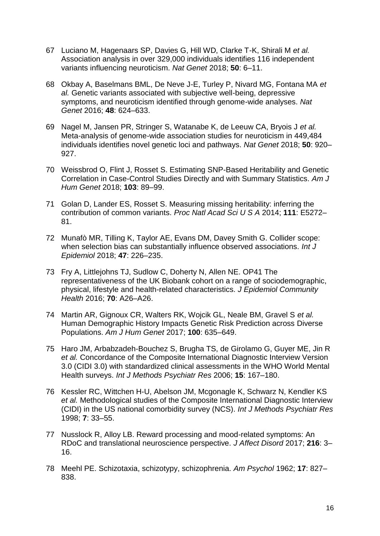- 67 [Luciano M, Hagenaars SP, Davies G, Hill WD, Clarke T-K, Shirali M](http://paperpile.com/b/pZ6sjJ/ZAJH) *[et al.](http://paperpile.com/b/pZ6sjJ/ZAJH)* [Association analysis in over 329,000 individuals identifies 116 independent](http://paperpile.com/b/pZ6sjJ/ZAJH) [variants influencing neuroticism.](http://paperpile.com/b/pZ6sjJ/ZAJH) *[Nat Genet](http://paperpile.com/b/pZ6sjJ/ZAJH)* [2018;](http://paperpile.com/b/pZ6sjJ/ZAJH) **[50](http://paperpile.com/b/pZ6sjJ/ZAJH)**[: 6–11.](http://paperpile.com/b/pZ6sjJ/ZAJH)
- 68 [Okbay A, Baselmans BML, De Neve J-E, Turley P, Nivard MG, Fontana MA](http://paperpile.com/b/pZ6sjJ/vVAc) *[et](http://paperpile.com/b/pZ6sjJ/vVAc)  [al.](http://paperpile.com/b/pZ6sjJ/vVAc)* [Genetic variants associated with subjective well-being, depressive](http://paperpile.com/b/pZ6sjJ/vVAc)  [symptoms, and neuroticism identified through genome-wide analyses.](http://paperpile.com/b/pZ6sjJ/vVAc) *[Nat](http://paperpile.com/b/pZ6sjJ/vVAc)  [Genet](http://paperpile.com/b/pZ6sjJ/vVAc)* [2016;](http://paperpile.com/b/pZ6sjJ/vVAc) **[48](http://paperpile.com/b/pZ6sjJ/vVAc)**[: 624–633.](http://paperpile.com/b/pZ6sjJ/vVAc)
- 69 [Nagel M, Jansen PR, Stringer S, Watanabe K, de Leeuw CA, Bryois J](http://paperpile.com/b/pZ6sjJ/xiCl) *[et al.](http://paperpile.com/b/pZ6sjJ/xiCl)* [Meta-analysis of genome-wide association studies for neuroticism in 449,484](http://paperpile.com/b/pZ6sjJ/xiCl)  [individuals identifies novel genetic loci and pathways.](http://paperpile.com/b/pZ6sjJ/xiCl) *[Nat Genet](http://paperpile.com/b/pZ6sjJ/xiCl)* [2018;](http://paperpile.com/b/pZ6sjJ/xiCl) **[50](http://paperpile.com/b/pZ6sjJ/xiCl)**[: 920–](http://paperpile.com/b/pZ6sjJ/xiCl) [927.](http://paperpile.com/b/pZ6sjJ/xiCl)
- 70 [Weissbrod O, Flint J, Rosset S. Estimating SNP-Based Heritability and Genetic](http://paperpile.com/b/pZ6sjJ/zU7w)  [Correlation in Case-Control Studies Directly and with Summary Statistics.](http://paperpile.com/b/pZ6sjJ/zU7w) *[Am J](http://paperpile.com/b/pZ6sjJ/zU7w)  [Hum Genet](http://paperpile.com/b/pZ6sjJ/zU7w)* [2018;](http://paperpile.com/b/pZ6sjJ/zU7w) **[103](http://paperpile.com/b/pZ6sjJ/zU7w)**[: 89–99.](http://paperpile.com/b/pZ6sjJ/zU7w)
- 71 [Golan D, Lander ES, Rosset S. Measuring missing heritability: inferring the](http://paperpile.com/b/pZ6sjJ/SqvW)  [contribution of common variants.](http://paperpile.com/b/pZ6sjJ/SqvW) *[Proc Natl Acad Sci U S A](http://paperpile.com/b/pZ6sjJ/SqvW)* [2014;](http://paperpile.com/b/pZ6sjJ/SqvW) **[111](http://paperpile.com/b/pZ6sjJ/SqvW)**[: E5272–](http://paperpile.com/b/pZ6sjJ/SqvW) [81.](http://paperpile.com/b/pZ6sjJ/SqvW)
- 72 [Munafò MR, Tilling K, Taylor AE, Evans DM, Davey Smith G. Collider scope:](http://paperpile.com/b/pZ6sjJ/yiN8)  [when selection bias can substantially influence observed associations.](http://paperpile.com/b/pZ6sjJ/yiN8) *[Int J](http://paperpile.com/b/pZ6sjJ/yiN8)  [Epidemiol](http://paperpile.com/b/pZ6sjJ/yiN8)* [2018;](http://paperpile.com/b/pZ6sjJ/yiN8) **[47](http://paperpile.com/b/pZ6sjJ/yiN8)**[: 226–235.](http://paperpile.com/b/pZ6sjJ/yiN8)
- 73 [Fry A, Littlejohns TJ, Sudlow C, Doherty N, Allen NE. OP41 The](http://paperpile.com/b/pZ6sjJ/gH3Mt)  [representativeness of the UK Biobank cohort on a range of sociodemographic,](http://paperpile.com/b/pZ6sjJ/gH3Mt)  [physical, lifestyle and health-related characteristics.](http://paperpile.com/b/pZ6sjJ/gH3Mt) *[J Epidemiol Community](http://paperpile.com/b/pZ6sjJ/gH3Mt)  [Health](http://paperpile.com/b/pZ6sjJ/gH3Mt)* [2016;](http://paperpile.com/b/pZ6sjJ/gH3Mt) **[70](http://paperpile.com/b/pZ6sjJ/gH3Mt)**[: A26–A26.](http://paperpile.com/b/pZ6sjJ/gH3Mt)
- 74 [Martin AR, Gignoux CR, Walters RK, Wojcik GL, Neale BM, Gravel S](http://paperpile.com/b/pZ6sjJ/GFJJT) *[et al.](http://paperpile.com/b/pZ6sjJ/GFJJT)* [Human Demographic History Impacts Genetic Risk Prediction across](http://paperpile.com/b/pZ6sjJ/GFJJT) Diverse [Populations.](http://paperpile.com/b/pZ6sjJ/GFJJT) *[Am J Hum Genet](http://paperpile.com/b/pZ6sjJ/GFJJT)* [2017;](http://paperpile.com/b/pZ6sjJ/GFJJT) **[100](http://paperpile.com/b/pZ6sjJ/GFJJT)**[: 635–649.](http://paperpile.com/b/pZ6sjJ/GFJJT)
- 75 [Haro JM, Arbabzadeh-Bouchez S, Brugha TS, de Girolamo G, Guyer ME, Jin R](http://paperpile.com/b/pZ6sjJ/OEIE)  *[et al.](http://paperpile.com/b/pZ6sjJ/OEIE)* [Concordance of the Composite International Diagnostic Interview Version](http://paperpile.com/b/pZ6sjJ/OEIE)  [3.0 \(CIDI 3.0\) with standardized clinical assessments in the WHO World Mental](http://paperpile.com/b/pZ6sjJ/OEIE)  [Health surveys.](http://paperpile.com/b/pZ6sjJ/OEIE) *[Int J Methods Psychiatr Res](http://paperpile.com/b/pZ6sjJ/OEIE)* [2006;](http://paperpile.com/b/pZ6sjJ/OEIE) **[15](http://paperpile.com/b/pZ6sjJ/OEIE)**[: 167–180.](http://paperpile.com/b/pZ6sjJ/OEIE)
- 76 [Kessler RC, Wittchen H-U, Abelson JM, Mcgonagle K, Schwarz N, Kendler KS](http://paperpile.com/b/pZ6sjJ/4K4U)  *[et al.](http://paperpile.com/b/pZ6sjJ/4K4U)* [Methodological studies of the Composite International Diagnostic Interview](http://paperpile.com/b/pZ6sjJ/4K4U)  (CIDI) [in the US national comorbidity survey \(NCS\).](http://paperpile.com/b/pZ6sjJ/4K4U) *[Int J Methods Psychiatr Res](http://paperpile.com/b/pZ6sjJ/4K4U)* [1998;](http://paperpile.com/b/pZ6sjJ/4K4U) **[7](http://paperpile.com/b/pZ6sjJ/4K4U)**[: 33–55.](http://paperpile.com/b/pZ6sjJ/4K4U)
- 77 [Nusslock R, Alloy LB. Reward processing and mood-related symptoms: An](http://paperpile.com/b/pZ6sjJ/Ia05)  [RDoC and translational neuroscience perspective.](http://paperpile.com/b/pZ6sjJ/Ia05) *[J Affect Disord](http://paperpile.com/b/pZ6sjJ/Ia05)* [2017;](http://paperpile.com/b/pZ6sjJ/Ia05) **[216](http://paperpile.com/b/pZ6sjJ/Ia05)**[: 3–](http://paperpile.com/b/pZ6sjJ/Ia05) [16.](http://paperpile.com/b/pZ6sjJ/Ia05)
- 78 [Meehl PE. Schizotaxia, schizotypy, schizophrenia.](http://paperpile.com/b/pZ6sjJ/UvI0) *[Am Psychol](http://paperpile.com/b/pZ6sjJ/UvI0)* [1962;](http://paperpile.com/b/pZ6sjJ/UvI0) **[17](http://paperpile.com/b/pZ6sjJ/UvI0)**[: 827–](http://paperpile.com/b/pZ6sjJ/UvI0) [838.](http://paperpile.com/b/pZ6sjJ/UvI0)